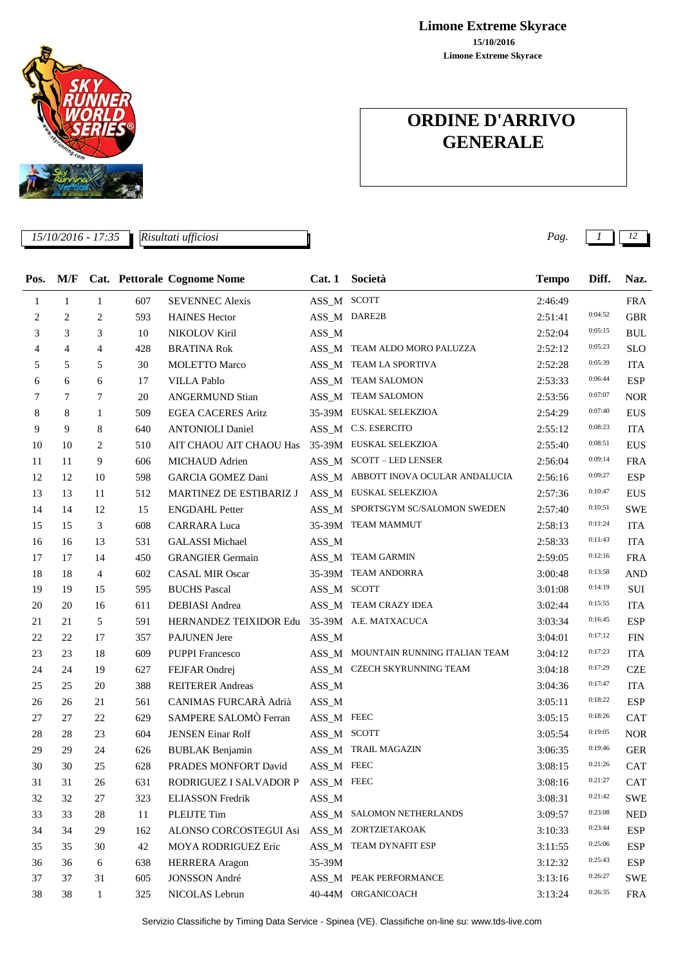**Limone Extreme Skyrace 15/10/2016 Limone Extreme Skyrace**

# **ORDINE D'ARRIVO GENERALE**



Servizio Classifiche by Timing Data Service - Spinea (VE). Classifiche on-line su: www.tds-live.com



*15/10/2016 - 17:35 Pag. 1 12 Risultati ufficiosi*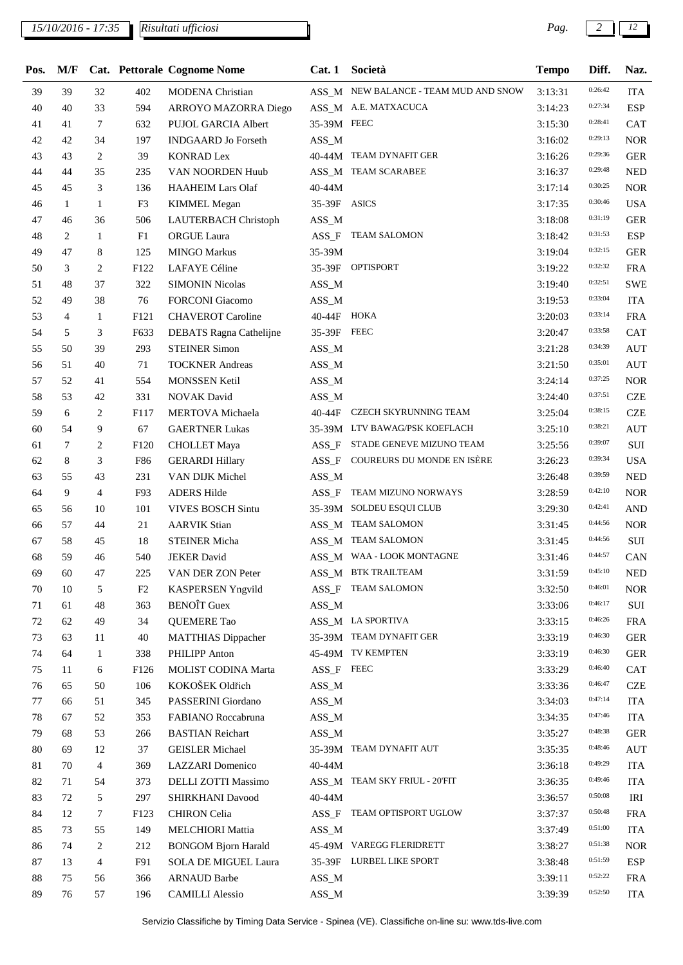| Pos.   | M/F |                |                | Cat. Pettorale Cognome Nome | Cat.1        | Società                               | <b>Tempo</b> | Diff.   | Naz.       |
|--------|-----|----------------|----------------|-----------------------------|--------------|---------------------------------------|--------------|---------|------------|
| 39     | 39  | 32             | 402            | <b>MODENA</b> Christian     |              | ASS_M NEW BALANCE - TEAM MUD AND SNOW | 3:13:31      | 0:26:42 | <b>ITA</b> |
| 40     | 40  | 33             | 594            | ARROYO MAZORRA Diego        |              | ASS_M A.E. MATXACUCA                  | 3:14:23      | 0:27:34 | <b>ESP</b> |
| 41     | 41  | 7              | 632            | PUJOL GARCIA Albert         | 35-39M FEEC  |                                       | 3:15:30      | 0:28:41 | <b>CAT</b> |
| 42     | 42  | 34             | 197            | <b>INDGAARD</b> Jo Forseth  | $ASS\_M$     |                                       | 3:16:02      | 0:29:13 | <b>NOR</b> |
| 43     | 43  | 2              | 39             | <b>KONRAD Lex</b>           |              | 40-44M TEAM DYNAFIT GER               | 3:16:26      | 0:29:36 | <b>GER</b> |
| 44     | 44  | 35             | 235            | VAN NOORDEN Huub            |              | ASS_M TEAM SCARABEE                   | 3:16:37      | 0:29:48 | <b>NED</b> |
| 45     | 45  | 3              | 136            | <b>HAAHEIM Lars Olaf</b>    | 40-44M       |                                       | 3:17:14      | 0:30:25 | <b>NOR</b> |
| 46     | 1   | $\mathbf{1}$   | F <sub>3</sub> | <b>KIMMEL Megan</b>         | 35-39F ASICS |                                       | 3:17:35      | 0:30:46 | <b>USA</b> |
| 47     | 46  | 36             | 506            | LAUTERBACH Christoph        | $ASS\_M$     |                                       | 3:18:08      | 0:31:19 | <b>GER</b> |
| 48     | 2   | $\mathbf{1}$   | F1             | ORGUE Laura                 |              | ASS_F TEAM SALOMON                    | 3:18:42      | 0:31:53 | <b>ESP</b> |
| 49     | 47  | 8              | 125            | <b>MINGO Markus</b>         | 35-39M       |                                       | 3:19:04      | 0:32:15 | <b>GER</b> |
| 50     | 3   | 2              | F122           | LAFAYE Céline               |              | 35-39F OPTISPORT                      | 3:19:22      | 0:32:32 | <b>FRA</b> |
| 51     | 48  | 37             | 322            | <b>SIMONIN Nicolas</b>      | ASS_M        |                                       | 3:19:40      | 0:32:51 | <b>SWE</b> |
| 52     | 49  | 38             | 76             | <b>FORCONI</b> Giacomo      | $ASS\_M$     |                                       | 3:19:53      | 0:33:04 | <b>ITA</b> |
| 53     | 4   | 1              | F121           | <b>CHAVEROT</b> Caroline    | 40-44F HOKA  |                                       | 3:20:03      | 0:33:14 | <b>FRA</b> |
| 54     | 5   | 3              | F633           | DEBATS Ragna Cathelijne     | 35-39F FEEC  |                                       | 3:20:47      | 0:33:58 | <b>CAT</b> |
| 55     | 50  | 39             | 293            | <b>STEINER Simon</b>        | $ASS\_M$     |                                       | 3:21:28      | 0:34:39 | <b>AUT</b> |
| 56     | 51  | 40             | 71             | <b>TOCKNER Andreas</b>      | $ASS\_M$     |                                       | 3:21:50      | 0:35:01 | <b>AUT</b> |
| 57     | 52  | 41             | 554            | <b>MONSSEN Ketil</b>        | $ASS\_M$     |                                       | 3:24:14      | 0:37:25 | <b>NOR</b> |
| 58     | 53  | 42             | 331            | <b>NOVAK David</b>          | $ASS\_M$     |                                       | 3:24:40      | 0:37:51 | <b>CZE</b> |
| 59     | 6   | 2              | F117           | MERTOVA Michaela            | 40-44F       | CZECH SKYRUNNING TEAM                 | 3:25:04      | 0:38:15 | <b>CZE</b> |
| 60     | 54  | 9              | 67             | <b>GAERTNER Lukas</b>       |              | 35-39M LTV BAWAG/PSK KOEFLACH         | 3:25:10      | 0:38:21 | <b>AUT</b> |
| 61     | 7   | 2              | F120           | <b>CHOLLET</b> Maya         | $ASS_F$      | STADE GENEVE MIZUNO TEAM              | 3:25:56      | 0:39:07 | SUI        |
| 62     | 8   | 3              | F86            | <b>GERARDI Hillary</b>      |              | ASS_F COUREURS DU MONDE EN ISÈRE      | 3:26:23      | 0:39:34 | <b>USA</b> |
| 63     | 55  | 43             | 231            | VAN DIJK Michel             | ASS_M        |                                       | 3:26:48      | 0:39:59 | <b>NED</b> |
| 64     | 9   | $\overline{4}$ | F93            | <b>ADERS Hilde</b>          | $ASS_F$      | TEAM MIZUNO NORWAYS                   | 3:28:59      | 0:42:10 | <b>NOR</b> |
| 65     | 56  | 10             | 101            | <b>VIVES BOSCH Sintu</b>    |              | 35-39M SOLDEU ESQUI CLUB              | 3:29:30      | 0:42:41 | <b>AND</b> |
| 66     | 57  | 44             | 21             | <b>AARVIK Stian</b>         |              | ASS_M TEAM SALOMON                    | 3:31:45      | 0:44:56 | <b>NOR</b> |
| 67     | 58  | 45             | 18             | <b>STEINER Micha</b>        |              | ASS_M TEAM SALOMON                    | 3:31:45      | 0:44:56 | $\rm SUI$  |
| 68     | 59  | 46             | 540            | <b>JEKER David</b>          |              | ASS_M WAA - LOOK MONTAGNE             | 3:31:46      | 0:44:57 | CAN        |
| 69     | 60  | 47             | 225            | VAN DER ZON Peter           |              | ASS_M BTK TRAILTEAM                   | 3:31:59      | 0:45:10 | <b>NED</b> |
| 70     | 10  | 5              | F2             | <b>KASPERSEN Yngvild</b>    |              | ASS_F TEAM SALOMON                    | 3:32:50      | 0:46:01 | <b>NOR</b> |
| 71     | 61  | 48             | 363            | <b>BENOÎT</b> Guex          | $ASS\_M$     |                                       | 3:33:06      | 0:46:17 | SUI        |
| 72     | 62  | 49             | 34             | QUEMERE Tao                 |              | ASS_M LA SPORTIVA                     | 3:33:15      | 0:46:26 | <b>FRA</b> |
| 73     | 63  | 11             | 40             | <b>MATTHIAS Dippacher</b>   |              | 35-39M TEAM DYNAFIT GER               | 3:33:19      | 0:46:30 | <b>GER</b> |
| 74     | 64  | $\mathbf{1}$   | 338            | PHILIPP Anton               |              | 45-49M TV KEMPTEN                     | 3:33:19      | 0:46:30 | <b>GER</b> |
| 75     | 11  | 6              | F126           | MOLIST CODINA Marta         | ASS_F FEEC   |                                       | 3:33:29      | 0:46:40 | <b>CAT</b> |
| 76     | 65  | 50             | 106            | KOKOŠEK Oldřich             | $ASS\_M$     |                                       | 3:33:36      | 0:46:47 | <b>CZE</b> |
| 77     | 66  | 51             | 345            | PASSERINI Giordano          | $ASS\_M$     |                                       | 3:34:03      | 0:47:14 | <b>ITA</b> |
| $78\,$ | 67  | 52             | 353            | FABIANO Roccabruna          | $ASS\_M$     |                                       | 3:34:35      | 0:47:46 | <b>ITA</b> |
| 79     | 68  | 53             | 266            | <b>BASTIAN Reichart</b>     | $ASS\_M$     |                                       | 3:35:27      | 0:48:38 | <b>GER</b> |
| 80     | 69  | 12             | 37             | <b>GEISLER Michael</b>      |              | 35-39M TEAM DYNAFIT AUT               | 3:35:35      | 0:48:46 | <b>AUT</b> |
| 81     | 70  | 4              | 369            | <b>LAZZARI</b> Domenico     | 40-44M       |                                       | 3:36:18      | 0:49:29 | <b>ITA</b> |
| 82     | 71  | 54             | 373            | DELLI ZOTTI Massimo         |              | ASS_M TEAM SKY FRIUL - 20'FIT         | 3:36:35      | 0:49:46 | <b>ITA</b> |
| 83     | 72  | 5              | 297            | SHIRKHANI Davood            | 40-44M       |                                       | 3:36:57      | 0:50:08 | IRI        |
| 84     | 12  | 7              | F123           | <b>CHIRON</b> Celia         | $ASS_F$      | TEAM OPTISPORT UGLOW                  | 3:37:37      | 0:50:48 | <b>FRA</b> |
| 85     | 73  | 55             | 149            | <b>MELCHIORI</b> Mattia     | $ASS\_M$     |                                       | 3:37:49      | 0:51:00 | <b>ITA</b> |
| 86     | 74  | 2              | 212            | <b>BONGOM Bjorn Harald</b>  |              | 45-49M VAREGG FLERIDRETT              | 3:38:27      | 0:51:38 | <b>NOR</b> |
| $87\,$ | 13  | 4              | F91            | SOLA DE MIGUEL Laura        |              | 35-39F LURBEL LIKE SPORT              | 3:38:48      | 0:51:59 | <b>ESP</b> |
| $88\,$ | 75  | 56             | 366            | <b>ARNAUD Barbe</b>         | $ASS\_M$     |                                       | 3:39:11      | 0:52:22 | <b>FRA</b> |
| 89     | 76  | 57             | 196            | <b>CAMILLI Alessio</b>      | $ASS\_M$     |                                       | 3:39:39      | 0:52:50 | <b>ITA</b> |
|        |     |                |                |                             |              |                                       |              |         |            |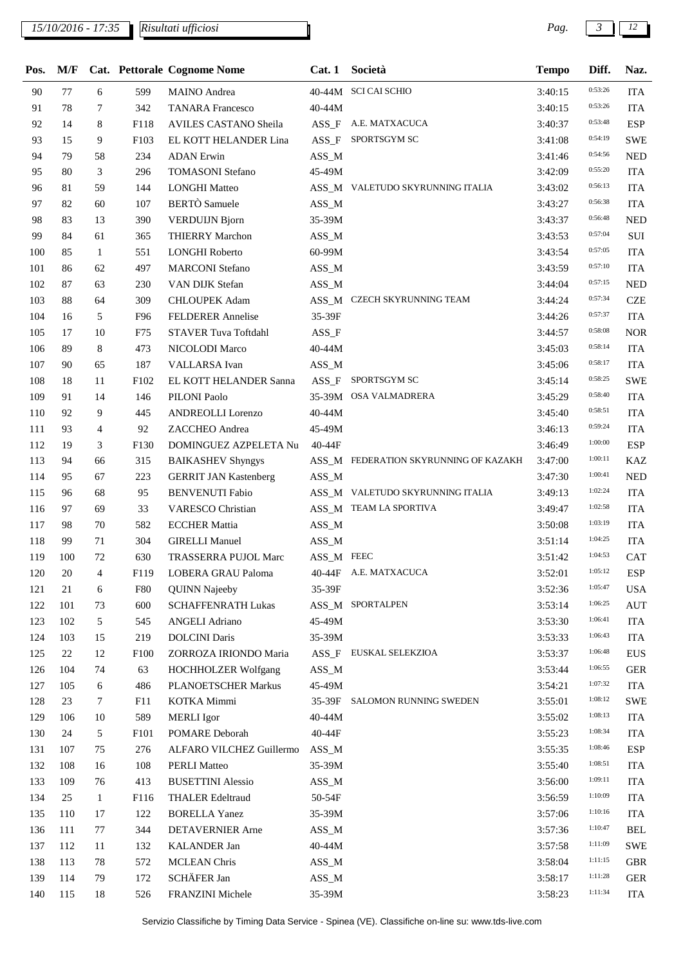| Pos. | M/F |                |            | Cat. Pettorale Cognome Nome  | Cat.1      | Società                               | <b>Tempo</b> | Diff.   | Naz.       |
|------|-----|----------------|------------|------------------------------|------------|---------------------------------------|--------------|---------|------------|
| 90   | 77  | 6              | 599        | <b>MAINO</b> Andrea          |            | 40-44M SCI CAI SCHIO                  | 3:40:15      | 0:53:26 | <b>ITA</b> |
| 91   | 78  | $\tau$         | 342        | <b>TANARA</b> Francesco      | 40-44M     |                                       | 3:40:15      | 0:53:26 | <b>ITA</b> |
| 92   | 14  | 8              | F118       | AVILES CASTANO Sheila        |            | ASS_F A.E. MATXACUCA                  | 3:40:37      | 0:53:48 | <b>ESP</b> |
| 93   | 15  | 9              | F103       | EL KOTT HELANDER Lina        | $ASS_F$    | SPORTSGYM SC                          | 3:41:08      | 0:54:19 | <b>SWE</b> |
| 94   | 79  | 58             | 234        | <b>ADAN</b> Erwin            | $ASS\_M$   |                                       | 3:41:46      | 0:54:56 | <b>NED</b> |
| 95   | 80  | 3              | 296        | <b>TOMASONI</b> Stefano      | 45-49M     |                                       | 3:42:09      | 0:55:20 | <b>ITA</b> |
| 96   | 81  | 59             | 144        | <b>LONGHI Matteo</b>         |            | ASS_M VALETUDO SKYRUNNING ITALIA      | 3:43:02      | 0:56:13 | <b>ITA</b> |
| 97   | 82  | 60             | 107        | <b>BERTÒ</b> Samuele         | $ASS\_M$   |                                       | 3:43:27      | 0:56:38 | <b>ITA</b> |
| 98   | 83  | 13             | 390        | <b>VERDUIJN Bjorn</b>        | 35-39M     |                                       | 3:43:37      | 0:56:48 | <b>NED</b> |
| 99   | 84  | 61             | 365        | THIERRY Marchon              | $ASS\_M$   |                                       | 3:43:53      | 0:57:04 | $\rm SUI$  |
| 100  | 85  | $\mathbf{1}$   | 551        | <b>LONGHI Roberto</b>        | 60-99M     |                                       | 3:43:54      | 0:57:05 | <b>ITA</b> |
| 101  | 86  | 62             | 497        | <b>MARCONI</b> Stefano       | $ASS\_M$   |                                       | 3:43:59      | 0:57:10 | <b>ITA</b> |
| 102  | 87  | 63             | 230        | VAN DIJK Stefan              | $ASS\_M$   |                                       | 3:44:04      | 0:57:15 | <b>NED</b> |
| 103  | 88  | 64             | 309        | <b>CHLOUPEK Adam</b>         |            | ASS_M CZECH SKYRUNNING TEAM           | 3:44:24      | 0:57:34 | <b>CZE</b> |
| 104  | 16  | 5              | F96        | <b>FELDERER Annelise</b>     | 35-39F     |                                       | 3:44:26      | 0:57:37 | <b>ITA</b> |
| 105  | 17  | 10             | F75        | <b>STAVER Tuva Toftdahl</b>  | $ASS_F$    |                                       | 3:44:57      | 0:58:08 | <b>NOR</b> |
| 106  | 89  | 8              | 473        | NICOLODI Marco               | 40-44M     |                                       | 3:45:03      | 0:58:14 | <b>ITA</b> |
| 107  | 90  | 65             | 187        | VALLARSA Ivan                | ASS_M      |                                       | 3:45:06      | 0:58:17 | <b>ITA</b> |
| 108  | 18  | 11             | F102       | EL KOTT HELANDER Sanna       | $ASS_F$    | SPORTSGYM SC                          | 3:45:14      | 0:58:25 | <b>SWE</b> |
| 109  | 91  | 14             | 146        | PILONI Paolo                 |            | 35-39M OSA VALMADRERA                 | 3:45:29      | 0:58:40 | <b>ITA</b> |
| 110  | 92  | 9              | 445        | <b>ANDREOLLI Lorenzo</b>     | 40-44M     |                                       | 3:45:40      | 0:58:51 | <b>ITA</b> |
| 111  | 93  | $\overline{4}$ | 92         | ZACCHEO Andrea               | 45-49M     |                                       | 3:46:13      | 0:59:24 | <b>ITA</b> |
| 112  | 19  | 3              | F130       | DOMINGUEZ AZPELETA Nu        | 40-44F     |                                       | 3:46:49      | 1:00:00 | <b>ESP</b> |
| 113  | 94  | 66             | 315        | <b>BAIKASHEV Shyngys</b>     |            | ASS_M FEDERATION SKYRUNNING OF KAZAKH | 3:47:00      | 1:00:11 | <b>KAZ</b> |
| 114  | 95  | 67             | 223        | <b>GERRIT JAN Kastenberg</b> | ASS_M      |                                       | 3:47:30      | 1:00:41 | <b>NED</b> |
| 115  | 96  | 68             | 95         | <b>BENVENUTI Fabio</b>       |            | ASS M VALETUDO SKYRUNNING ITALIA      | 3:49:13      | 1:02:24 | <b>ITA</b> |
| 116  | 97  | 69             | 33         | <b>VARESCO Christian</b>     |            | ASS_M TEAM LA SPORTIVA                | 3:49:47      | 1:02:58 | <b>ITA</b> |
| 117  | 98  | 70             | 582        | <b>ECCHER Mattia</b>         | $ASS\_M$   |                                       | 3:50:08      | 1:03:19 | <b>ITA</b> |
| 118  | 99  | 71             | 304        | <b>GIRELLI Manuel</b>        | $ASS\_M$   |                                       | 3:51:14      | 1:04:25 | <b>ITA</b> |
| 119  | 100 | 72             | 630        | TRASSERRA PUJOL Marc         | ASS_M FEEC |                                       | 3:51:42      | 1:04:53 | CAT        |
| 120  | 20  | 4              | F119       | LOBERA GRAU Paloma           |            | 40-44F A.E. MATXACUCA                 | 3:52:01      | 1:05:12 | <b>ESP</b> |
| 121  | 21  | 6              | <b>F80</b> | <b>QUINN Najeeby</b>         | 35-39F     |                                       | 3:52:36      | 1:05:47 | <b>USA</b> |
| 122  | 101 | 73             | 600        | <b>SCHAFFENRATH Lukas</b>    |            | ASS_M SPORTALPEN                      | 3:53:14      | 1:06:25 | <b>AUT</b> |
| 123  | 102 | 5              | 545        | <b>ANGELI Adriano</b>        | 45-49M     |                                       | 3:53:30      | 1:06:41 | <b>ITA</b> |
| 124  | 103 | 15             | 219        | <b>DOLCINI Daris</b>         | 35-39M     |                                       | 3:53:33      | 1:06:43 | <b>ITA</b> |
| 125  | 22  | 12             | F100       | ZORROZA IRIONDO Maria        |            | ASS_F EUSKAL SELEKZIOA                | 3:53:37      | 1:06:48 | <b>EUS</b> |
| 126  | 104 | 74             | 63         | HOCHHOLZER Wolfgang          | ASS_M      |                                       | 3:53:44      | 1:06:55 | <b>GER</b> |
| 127  | 105 | 6              | 486        | PLANOETSCHER Markus          | 45-49M     |                                       | 3:54:21      | 1:07:32 | <b>ITA</b> |
| 128  | 23  | 7              | F11        | KOTKA Mimmi                  |            | 35-39F SALOMON RUNNING SWEDEN         | 3:55:01      | 1:08:12 | <b>SWE</b> |
| 129  | 106 | 10             | 589        | <b>MERLI</b> Igor            | 40-44M     |                                       | 3:55:02      | 1:08:13 | <b>ITA</b> |
| 130  | 24  | 5              | F101       | POMARE Deborah               | 40-44F     |                                       | 3:55:23      | 1:08:34 | <b>ITA</b> |
| 131  | 107 | 75             | 276        | ALFARO VILCHEZ Guillermo     | $ASS\_M$   |                                       | 3:55:35      | 1:08:46 | <b>ESP</b> |
| 132  | 108 | 16             | 108        | <b>PERLI Matteo</b>          | 35-39M     |                                       | 3:55:40      | 1:08:51 | <b>ITA</b> |
| 133  | 109 | 76             | 413        | <b>BUSETTINI</b> Alessio     | $ASS\_M$   |                                       | 3:56:00      | 1:09:11 | <b>ITA</b> |
| 134  | 25  | 1              | F116       | <b>THALER Edeltraud</b>      | 50-54F     |                                       | 3:56:59      | 1:10:09 | <b>ITA</b> |
| 135  | 110 | 17             | 122        | <b>BORELLA Yanez</b>         | 35-39M     |                                       | 3:57:06      | 1:10:16 | <b>ITA</b> |
| 136  | 111 | 77             | 344        | <b>DETAVERNIER</b> Arne      | $ASS\_M$   |                                       | 3:57:36      | 1:10:47 | <b>BEL</b> |
| 137  | 112 | 11             | 132        | <b>KALANDER Jan</b>          | 40-44M     |                                       | 3:57:58      | 1:11:09 | <b>SWE</b> |
| 138  | 113 | 78             | 572        | <b>MCLEAN Chris</b>          | $ASS\_M$   |                                       | 3:58:04      | 1:11:15 | <b>GBR</b> |
| 139  | 114 | 79             | 172        | SCHÄFER Jan                  | $ASS\_M$   |                                       | 3:58:17      | 1:11:28 | <b>GER</b> |
| 140  | 115 | 18             | 526        | FRANZINI Michele             | 35-39M     |                                       | 3:58:23      | 1:11:34 | <b>ITA</b> |
|      |     |                |            |                              |            |                                       |              |         |            |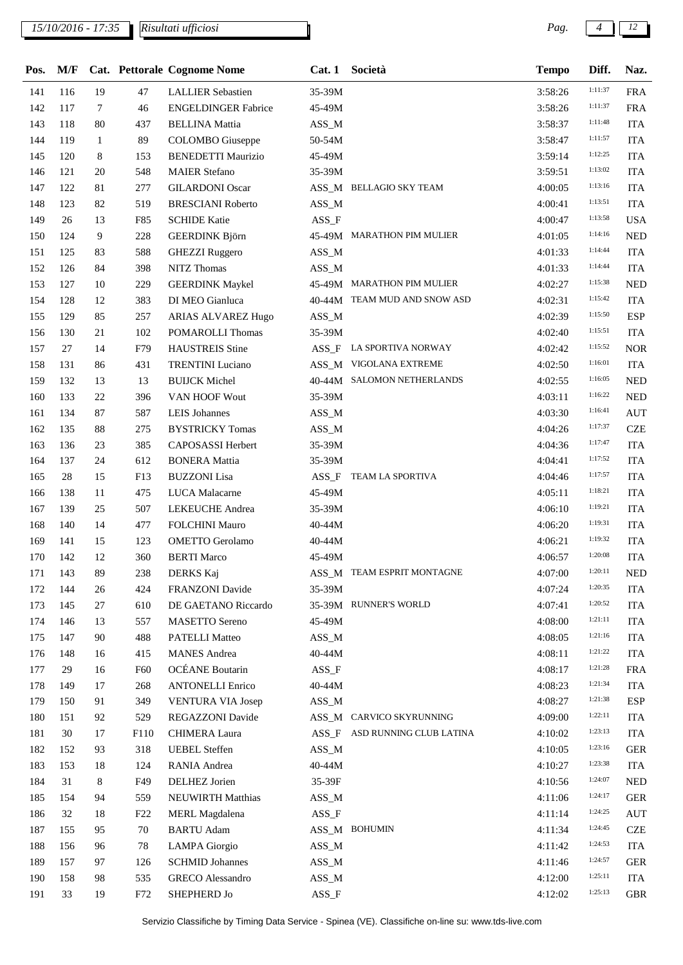## *15/10/2016 - 17:35 Pag. 4 12*

*Risultati ufficiosi*

| Pos. | M/F |        |                 | Cat. Pettorale Cognome Nome | Cat.1    | Società                       | <b>Tempo</b> | Diff.   | Naz.       |
|------|-----|--------|-----------------|-----------------------------|----------|-------------------------------|--------------|---------|------------|
| 141  | 116 | 19     | 47              | <b>LALLIER Sebastien</b>    | 35-39M   |                               | 3:58:26      | 1:11:37 | <b>FRA</b> |
| 142  | 117 | $\tau$ | 46              | <b>ENGELDINGER Fabrice</b>  | 45-49M   |                               | 3:58:26      | 1:11:37 | <b>FRA</b> |
| 143  | 118 | 80     | 437             | <b>BELLINA</b> Mattia       | $ASS\_M$ |                               | 3:58:37      | 1:11:48 | <b>ITA</b> |
| 144  | 119 | 1      | 89              | <b>COLOMBO</b> Giuseppe     | 50-54M   |                               | 3:58:47      | 1:11:57 | <b>ITA</b> |
| 145  | 120 | 8      | 153             | <b>BENEDETTI Maurizio</b>   | 45-49M   |                               | 3:59:14      | 1:12:25 | <b>ITA</b> |
| 146  | 121 | 20     | 548             | <b>MAIER Stefano</b>        | 35-39M   |                               | 3:59:51      | 1:13:02 | <b>ITA</b> |
| 147  | 122 | 81     | 277             | <b>GILARDONI</b> Oscar      |          | ASS_M BELLAGIO SKY TEAM       | 4:00:05      | 1:13:16 | <b>ITA</b> |
| 148  | 123 | 82     | 519             | <b>BRESCIANI Roberto</b>    | $ASS\_M$ |                               | 4:00:41      | 1:13:51 | <b>ITA</b> |
| 149  | 26  | 13     | F85             | <b>SCHIDE Katie</b>         | $ASS_F$  |                               | 4:00:47      | 1:13:58 | <b>USA</b> |
| 150  | 124 | 9      | 228             | <b>GEERDINK Björn</b>       |          | 45-49M MARATHON PIM MULIER    | 4:01:05      | 1:14:16 | <b>NED</b> |
| 151  | 125 | 83     | 588             | <b>GHEZZI Ruggero</b>       | $ASS\_M$ |                               | 4:01:33      | 1:14:44 | <b>ITA</b> |
| 152  | 126 | 84     | 398             | NITZ Thomas                 | $ASS\_M$ |                               | 4:01:33      | 1:14:44 | <b>ITA</b> |
| 153  | 127 | 10     | 229             | <b>GEERDINK Maykel</b>      |          | 45-49M MARATHON PIM MULIER    | 4:02:27      | 1:15:38 | <b>NED</b> |
| 154  | 128 | 12     | 383             | DI MEO Gianluca             |          | 40-44M TEAM MUD AND SNOW ASD  | 4:02:31      | 1:15:42 | <b>ITA</b> |
| 155  | 129 | 85     | 257             | ARIAS ALVAREZ Hugo          | $ASS\_M$ |                               | 4:02:39      | 1:15:50 | <b>ESP</b> |
| 156  | 130 | 21     | 102             | POMAROLLI Thomas            | 35-39M   |                               | 4:02:40      | 1:15:51 | <b>ITA</b> |
| 157  | 27  | 14     | F79             | <b>HAUSTREIS Stine</b>      |          | ASS_F LA SPORTIVA NORWAY      | 4:02:42      | 1:15:52 | <b>NOR</b> |
| 158  | 131 | 86     | 431             | <b>TRENTINI</b> Luciano     |          | ASS_M VIGOLANA EXTREME        | 4:02:50      | 1:16:01 | <b>ITA</b> |
| 159  | 132 | 13     | 13              | <b>BUIJCK Michel</b>        |          | 40-44M SALOMON NETHERLANDS    | 4:02:55      | 1:16:05 | <b>NED</b> |
| 160  | 133 | 22     | 396             | VAN HOOF Wout               | 35-39M   |                               | 4:03:11      | 1:16:22 | <b>NED</b> |
| 161  | 134 | 87     | 587             | <b>LEIS</b> Johannes        | $ASS\_M$ |                               | 4:03:30      | 1:16:41 | <b>AUT</b> |
| 162  | 135 | 88     | 275             | <b>BYSTRICKY Tomas</b>      | $ASS\_M$ |                               | 4:04:26      | 1:17:37 | <b>CZE</b> |
| 163  | 136 | 23     | 385             | CAPOSASSI Herbert           | 35-39M   |                               | 4:04:36      | 1:17:47 | <b>ITA</b> |
| 164  | 137 | 24     | 612             | <b>BONERA</b> Mattia        | 35-39M   |                               | 4:04:41      | 1:17:52 | <b>ITA</b> |
| 165  | 28  | 15     | F13             | <b>BUZZONI</b> Lisa         |          | ASS_F TEAM LA SPORTIVA        | 4:04:46      | 1:17:57 | <b>ITA</b> |
| 166  | 138 | 11     | 475             | LUCA Malacarne              | 45-49M   |                               | 4:05:11      | 1:18:21 | <b>ITA</b> |
| 167  | 139 | 25     | 507             | <b>LEKEUCHE</b> Andrea      | 35-39M   |                               | 4:06:10      | 1:19:21 | <b>ITA</b> |
| 168  | 140 | 14     | 477             | FOLCHINI Mauro              | 40-44M   |                               | 4:06:20      | 1:19:31 | <b>ITA</b> |
| 169  | 141 | 15     | 123             | <b>OMETTO</b> Gerolamo      | 40-44M   |                               | 4:06:21      | 1:19:32 | <b>ITA</b> |
| 170  | 142 | 12     | 360             | <b>BERTI Marco</b>          | 45-49M   |                               | 4:06:57      | 1:20:08 | <b>ITA</b> |
| 171  | 143 | 89     | 238             | DERKS Kaj                   |          | ASS_M TEAM ESPRIT MONTAGNE    | 4:07:00      | 1:20:11 | NED        |
| 172  | 144 | 26     | 424             | FRANZONI Davide             | 35-39M   |                               | 4:07:24      | 1:20:35 | <b>ITA</b> |
| 173  | 145 | 27     | 610             | DE GAETANO Riccardo         |          | 35-39M RUNNER'S WORLD         | 4:07:41      | 1:20:52 | <b>ITA</b> |
| 174  | 146 | 13     | 557             | <b>MASETTO</b> Sereno       | 45-49M   |                               | 4:08:00      | 1:21:11 | <b>ITA</b> |
| 175  | 147 | 90     | 488             | <b>PATELLI Matteo</b>       | $ASS\_M$ |                               | 4:08:05      | 1:21:16 | <b>ITA</b> |
| 176  | 148 | 16     | 415             | <b>MANES</b> Andrea         | 40-44M   |                               | 4:08:11      | 1:21:22 | <b>ITA</b> |
| 177  | 29  | 16     | F <sub>60</sub> | OCÉANE Boutarin             | $ASS_F$  |                               | 4:08:17      | 1:21:28 | <b>FRA</b> |
| 178  | 149 | 17     | 268             | <b>ANTONELLI Enrico</b>     | 40-44M   |                               | 4:08:23      | 1:21:34 | <b>ITA</b> |
| 179  | 150 | 91     | 349             | <b>VENTURA VIA Josep</b>    | $ASS\_M$ |                               | 4:08:27      | 1:21:38 | <b>ESP</b> |
| 180  | 151 | 92     | 529             | REGAZZONI Davide            |          | ASS_M CARVICO SKYRUNNING      | 4:09:00      | 1:22:11 | <b>ITA</b> |
| 181  | 30  | 17     | F110            | <b>CHIMERA Laura</b>        |          | ASS_F ASD RUNNING CLUB LATINA | 4:10:02      | 1:23:13 | <b>ITA</b> |
| 182  | 152 | 93     | 318             | <b>UEBEL</b> Steffen        | $ASS\_M$ |                               | 4:10:05      | 1:23:16 | <b>GER</b> |
| 183  | 153 | 18     | 124             | RANIA Andrea                | 40-44M   |                               | 4:10:27      | 1:23:38 | <b>ITA</b> |
| 184  | 31  | 8      | F49             | DELHEZ Jorien               | 35-39F   |                               | 4:10:56      | 1:24:07 | <b>NED</b> |
| 185  | 154 | 94     | 559             | <b>NEUWIRTH Matthias</b>    | $ASS\_M$ |                               | 4:11:06      | 1:24:17 | <b>GER</b> |
| 186  | 32  | 18     | F <sub>22</sub> | <b>MERL</b> Magdalena       | $ASS_F$  |                               | 4:11:14      | 1:24:25 | <b>AUT</b> |
| 187  | 155 | 95     | 70              | <b>BARTU</b> Adam           |          | ASS_M BOHUMIN                 | 4:11:34      | 1:24:45 | <b>CZE</b> |
| 188  | 156 | 96     | 78              | <b>LAMPA</b> Giorgio        | $ASS\_M$ |                               | 4:11:42      | 1:24:53 | <b>ITA</b> |
| 189  | 157 | 97     | 126             | <b>SCHMID Johannes</b>      | $ASS\_M$ |                               | 4:11:46      | 1:24:57 | <b>GER</b> |
| 190  | 158 | 98     | 535             | <b>GRECO</b> Alessandro     | $ASS\_M$ |                               | 4:12:00      | 1:25:11 | <b>ITA</b> |
| 191  | 33  | 19     | F72             | SHEPHERD Jo                 | $ASS_F$  |                               | 4:12:02      | 1:25:13 | <b>GBR</b> |
|      |     |        |                 |                             |          |                               |              |         |            |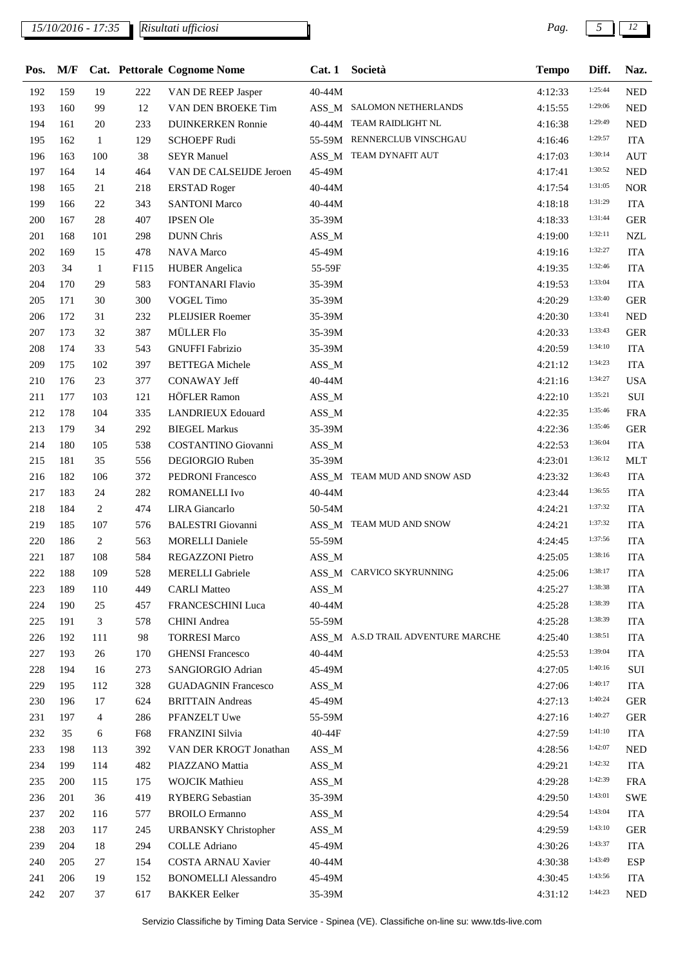## *15/10/2016 - 17:35 Pag. 5 12*

| Pos. | M/F |              |      | Cat. Pettorale Cognome Nome |          | Cat. 1 Società                     | <b>Tempo</b> | Diff.   | Naz.       |
|------|-----|--------------|------|-----------------------------|----------|------------------------------------|--------------|---------|------------|
| 192  | 159 | 19           | 222  | VAN DE REEP Jasper          | 40-44M   |                                    | 4:12:33      | 1:25:44 | <b>NED</b> |
| 193  | 160 | 99           | 12   | VAN DEN BROEKE Tim          |          | ASS_M SALOMON NETHERLANDS          | 4:15:55      | 1:29:06 | <b>NED</b> |
| 194  | 161 | 20           | 233  | <b>DUINKERKEN Ronnie</b>    |          | 40-44M TEAM RAIDLIGHT NL           | 4:16:38      | 1:29:49 | <b>NED</b> |
| 195  | 162 | $\mathbf{1}$ | 129  | <b>SCHOEPF Rudi</b>         |          | 55-59M RENNERCLUB VINSCHGAU        | 4:16:46      | 1:29:57 | <b>ITA</b> |
| 196  | 163 | 100          | 38   | <b>SEYR</b> Manuel          |          | ASS_M TEAM DYNAFIT AUT             | 4:17:03      | 1:30:14 | <b>AUT</b> |
| 197  | 164 | 14           | 464  | VAN DE CALSEIJDE Jeroen     | 45-49M   |                                    | 4:17:41      | 1:30:52 | <b>NED</b> |
| 198  | 165 | 21           | 218  | <b>ERSTAD Roger</b>         | 40-44M   |                                    | 4:17:54      | 1:31:05 | <b>NOR</b> |
| 199  | 166 | 22           | 343  | <b>SANTONI Marco</b>        | 40-44M   |                                    | 4:18:18      | 1:31:29 | <b>ITA</b> |
| 200  | 167 | 28           | 407  | <b>IPSEN Ole</b>            | 35-39M   |                                    | 4:18:33      | 1:31:44 | <b>GER</b> |
| 201  | 168 | 101          | 298  | <b>DUNN</b> Chris           | $ASS\_M$ |                                    | 4:19:00      | 1:32:11 | <b>NZL</b> |
| 202  | 169 | 15           | 478  | <b>NAVA Marco</b>           | 45-49M   |                                    | 4:19:16      | 1:32:27 | <b>ITA</b> |
| 203  | 34  | 1            | F115 | <b>HUBER</b> Angelica       | 55-59F   |                                    | 4:19:35      | 1:32:46 | <b>ITA</b> |
| 204  | 170 | 29           | 583  | <b>FONTANARI Flavio</b>     | 35-39M   |                                    | 4:19:53      | 1:33:04 | <b>ITA</b> |
| 205  | 171 | 30           | 300  | <b>VOGEL Timo</b>           | 35-39M   |                                    | 4:20:29      | 1:33:40 | <b>GER</b> |
| 206  | 172 | 31           | 232  | PLEIJSIER Roemer            | 35-39M   |                                    | 4:20:30      | 1:33:41 | <b>NED</b> |
| 207  | 173 | 32           | 387  | MÜLLER Flo                  | 35-39M   |                                    | 4:20:33      | 1:33:43 | <b>GER</b> |
| 208  | 174 | 33           | 543  | <b>GNUFFI Fabrizio</b>      | 35-39M   |                                    | 4:20:59      | 1:34:10 | <b>ITA</b> |
|      | 175 | 102          |      |                             |          |                                    |              | 1:34:23 | <b>ITA</b> |
| 209  | 176 | 23           | 397  | <b>BETTEGA</b> Michele      | $ASS\_M$ |                                    | 4:21:12      | 1:34:27 |            |
| 210  |     |              | 377  | <b>CONAWAY Jeff</b>         | 40-44M   |                                    | 4:21:16      | 1:35:21 | <b>USA</b> |
| 211  | 177 | 103          | 121  | HÖFLER Ramon                | $ASS\_M$ |                                    | 4:22:10      | 1:35:46 | $\rm SUI$  |
| 212  | 178 | 104          | 335  | <b>LANDRIEUX Edouard</b>    | $ASS\_M$ |                                    | 4:22:35      | 1:35:46 | <b>FRA</b> |
| 213  | 179 | 34           | 292  | <b>BIEGEL Markus</b>        | 35-39M   |                                    | 4:22:36      | 1:36:04 | <b>GER</b> |
| 214  | 180 | 105          | 538  | <b>COSTANTINO Giovanni</b>  | $ASS\_M$ |                                    | 4:22:53      |         | <b>ITA</b> |
| 215  | 181 | 35           | 556  | DEGIORGIO Ruben             | 35-39M   |                                    | 4:23:01      | 1:36:12 | <b>MLT</b> |
| 216  | 182 | 106          | 372  | PEDRONI Francesco           |          | ASS_M TEAM MUD AND SNOW ASD        | 4:23:32      | 1:36:43 | <b>ITA</b> |
| 217  | 183 | 24           | 282  | ROMANELLI Ivo               | 40-44M   |                                    | 4:23:44      | 1:36:55 | <b>ITA</b> |
| 218  | 184 | 2            | 474  | LIRA Giancarlo              | 50-54M   |                                    | 4:24:21      | 1:37:32 | <b>ITA</b> |
| 219  | 185 | 107          | 576  | <b>BALESTRI</b> Giovanni    |          | ASS_M TEAM MUD AND SNOW            | 4:24:21      | 1:37:32 | <b>ITA</b> |
| 220  | 186 | 2            | 563  | <b>MORELLI Daniele</b>      | 55-59M   |                                    | 4:24:45      | 1:37:56 | <b>ITA</b> |
| 221  | 187 | 108          | 584  | REGAZZONI Pietro            | $ASS\_M$ |                                    | 4:25:05      | 1:38:16 | <b>ITA</b> |
| 222  | 188 | 109          | 528  | <b>MERELLI</b> Gabriele     |          | ASS_M CARVICO SKYRUNNING           | 4:25:06      | 1:38:17 | <b>ITA</b> |
| 223  | 189 | 110          | 449  | <b>CARLI Matteo</b>         | $ASS\_M$ |                                    | 4:25:27      | 1:38:38 | <b>ITA</b> |
| 224  | 190 | 25           | 457  | FRANCESCHINI Luca           | 40-44M   |                                    | 4:25:28      | 1:38:39 | <b>ITA</b> |
| 225  | 191 | 3            | 578  | <b>CHINI</b> Andrea         | 55-59M   |                                    | 4:25:28      | 1:38:39 | <b>ITA</b> |
| 226  | 192 | 111          | 98   | <b>TORRESI Marco</b>        |          | ASS_M A.S.D TRAIL ADVENTURE MARCHE | 4:25:40      | 1:38:51 | <b>ITA</b> |
| 227  | 193 | 26           | 170  | <b>GHENSI Francesco</b>     | 40-44M   |                                    | 4:25:53      | 1:39:04 | <b>ITA</b> |
| 228  | 194 | 16           | 273  | SANGIORGIO Adrian           | 45-49M   |                                    | 4:27:05      | 1:40:16 | SUI        |
| 229  | 195 | 112          | 328  | <b>GUADAGNIN Francesco</b>  | $ASS\_M$ |                                    | 4:27:06      | 1:40:17 | <b>ITA</b> |
| 230  | 196 | 17           | 624  | <b>BRITTAIN</b> Andreas     | 45-49M   |                                    | 4:27:13      | 1:40:24 | <b>GER</b> |
| 231  | 197 | 4            | 286  | PFANZELT Uwe                | 55-59M   |                                    | 4:27:16      | 1:40:27 | <b>GER</b> |
| 232  | 35  | 6            | F68  | FRANZINI Silvia             | 40-44F   |                                    | 4:27:59      | 1:41:10 | ITA        |
| 233  | 198 | 113          | 392  | VAN DER KROGT Jonathan      | $ASS\_M$ |                                    | 4:28:56      | 1:42:07 | <b>NED</b> |
| 234  | 199 | 114          | 482  | PIAZZANO Mattia             | $ASS\_M$ |                                    | 4:29:21      | 1:42:32 | <b>ITA</b> |
| 235  | 200 | 115          | 175  | <b>WOJCIK Mathieu</b>       | $ASS\_M$ |                                    | 4:29:28      | 1:42:39 | <b>FRA</b> |
| 236  | 201 | 36           | 419  | <b>RYBERG</b> Sebastian     | 35-39M   |                                    | 4:29:50      | 1:43:01 | <b>SWE</b> |
| 237  | 202 | 116          | 577  | <b>BROILO</b> Ermanno       | $ASS\_M$ |                                    | 4:29:54      | 1:43:04 | <b>ITA</b> |
| 238  | 203 | 117          | 245  | <b>URBANSKY</b> Christopher | $ASS\_M$ |                                    | 4:29:59      | 1:43:10 | <b>GER</b> |
| 239  | 204 | 18           | 294  | <b>COLLE Adriano</b>        | 45-49M   |                                    | 4:30:26      | 1:43:37 | <b>ITA</b> |
| 240  | 205 | 27           | 154  | COSTA ARNAU Xavier          | 40-44M   |                                    | 4:30:38      | 1:43:49 | <b>ESP</b> |
| 241  | 206 | 19           | 152  | <b>BONOMELLI Alessandro</b> | 45-49M   |                                    | 4:30:45      | 1:43:56 | <b>ITA</b> |
| 242  | 207 | 37           | 617  | <b>BAKKER</b> Eelker        | 35-39M   |                                    | 4:31:12      | 1:44:23 | <b>NED</b> |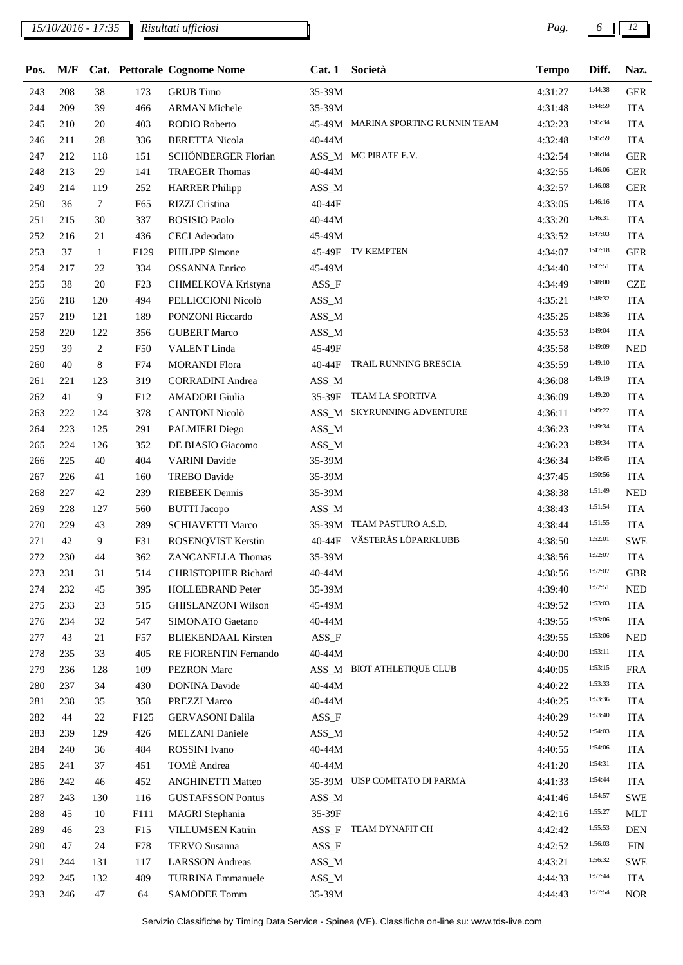*15/10/2016 - 17:35 Pag. 6 12*

*Risultati ufficiosi*

| Pos. | M/F |        |            | <b>Cat.</b> Pettorale Cognome Nome |          | Cat. 1 Società                     | <b>Tempo</b> | Diff.   | Naz.        |
|------|-----|--------|------------|------------------------------------|----------|------------------------------------|--------------|---------|-------------|
| 243  | 208 | 38     | 173        | <b>GRUB</b> Timo                   | 35-39M   |                                    | 4:31:27      | 1:44:38 | <b>GER</b>  |
| 244  | 209 | 39     | 466        | <b>ARMAN Michele</b>               | 35-39M   |                                    | 4:31:48      | 1:44:59 | <b>ITA</b>  |
| 245  | 210 | 20     | 403        | RODIO Roberto                      |          | 45-49M MARINA SPORTING RUNNIN TEAM | 4:32:23      | 1:45:34 | <b>ITA</b>  |
| 246  | 211 | 28     | 336        | <b>BERETTA Nicola</b>              | 40-44M   |                                    | 4:32:48      | 1:45:59 | <b>ITA</b>  |
| 247  | 212 | 118    | 151        | SCHÖNBERGER Florian                |          | ASS_M MC PIRATE E.V.               | 4:32:54      | 1:46:04 | <b>GER</b>  |
| 248  | 213 | 29     | 141        | <b>TRAEGER Thomas</b>              | 40-44M   |                                    | 4:32:55      | 1:46:06 | <b>GER</b>  |
| 249  | 214 | 119    | 252        | <b>HARRER Philipp</b>              | $ASS\_M$ |                                    | 4:32:57      | 1:46:08 | <b>GER</b>  |
| 250  | 36  | $\tau$ | F65        | RIZZI Cristina                     | 40-44F   |                                    | 4:33:05      | 1:46:16 | ITA         |
| 251  | 215 | 30     | 337        | <b>BOSISIO Paolo</b>               | 40-44M   |                                    | 4:33:20      | 1:46:31 | <b>ITA</b>  |
| 252  | 216 | 21     | 436        | <b>CECI</b> Adeodato               | 45-49M   |                                    | 4:33:52      | 1:47:03 | <b>ITA</b>  |
| 253  | 37  | 1      | F129       | <b>PHILIPP Simone</b>              |          | 45-49F TV KEMPTEN                  | 4:34:07      | 1:47:18 | <b>GER</b>  |
| 254  | 217 | 22     | 334        | <b>OSSANNA Enrico</b>              | 45-49M   |                                    | 4:34:40      | 1:47:51 | <b>ITA</b>  |
| 255  | 38  | 20     | F23        | CHMELKOVA Kristyna                 | $ASS_F$  |                                    | 4:34:49      | 1:48:00 | <b>CZE</b>  |
| 256  | 218 | 120    | 494        | PELLICCIONI Nicolò                 | $ASS\_M$ |                                    | 4:35:21      | 1:48:32 | <b>ITA</b>  |
| 257  | 219 | 121    | 189        | PONZONI Riccardo                   | ASS_M    |                                    | 4:35:25      | 1:48:36 | <b>ITA</b>  |
| 258  | 220 | 122    | 356        | <b>GUBERT Marco</b>                | $ASS\_M$ |                                    | 4:35:53      | 1:49:04 | <b>ITA</b>  |
| 259  | 39  | 2      | <b>F50</b> | <b>VALENT</b> Linda                | 45-49F   |                                    | 4:35:58      | 1:49:09 | <b>NED</b>  |
| 260  | 40  | 8      | F74        | <b>MORANDI Flora</b>               |          | 40-44F TRAIL RUNNING BRESCIA       | 4:35:59      | 1:49:10 | <b>ITA</b>  |
| 261  | 221 | 123    | 319        | <b>CORRADINI</b> Andrea            | $ASS\_M$ |                                    | 4:36:08      | 1:49:19 | <b>ITA</b>  |
| 262  | 41  | 9      | F12        | <b>AMADORI</b> Giulia              |          | 35-39F TEAM LA SPORTIVA            | 4:36:09      | 1:49:20 | <b>ITA</b>  |
| 263  | 222 | 124    | 378        | <b>CANTONI Nicolò</b>              |          | ASS_M SKYRUNNING ADVENTURE         | 4:36:11      | 1:49:22 | <b>ITA</b>  |
| 264  | 223 | 125    | 291        | PALMIERI Diego                     | $ASS\_M$ |                                    | 4:36:23      | 1:49:34 | <b>ITA</b>  |
| 265  | 224 | 126    | 352        | DE BIASIO Giacomo                  | $ASS\_M$ |                                    | 4:36:23      | 1:49:34 | <b>ITA</b>  |
| 266  | 225 | 40     | 404        | <b>VARINI</b> Davide               | 35-39M   |                                    | 4:36:34      | 1:49:45 | <b>ITA</b>  |
| 267  | 226 | 41     | 160        | <b>TREBO</b> Davide                | 35-39M   |                                    | 4:37:45      | 1:50:56 | <b>ITA</b>  |
| 268  | 227 | 42     | 239        | <b>RIEBEEK</b> Dennis              | 35-39M   |                                    | 4:38:38      | 1:51:49 | <b>NED</b>  |
| 269  | 228 | 127    | 560        | <b>BUTTI</b> Jacopo                | $ASS\_M$ |                                    | 4:38:43      | 1:51:54 | <b>ITA</b>  |
| 270  | 229 | 43     | 289        | <b>SCHIAVETTI Marco</b>            |          | 35-39M TEAM PASTURO A.S.D.         | 4:38:44      | 1:51:55 | <b>ITA</b>  |
| 271  | 42  | 9      | F31        | ROSENQVIST Kerstin                 |          | 40-44F VÄSTERÅS LÖPARKLUBB         | 4:38:50      | 1:52:01 | <b>SWE</b>  |
| 272  | 230 | 44     | 362        | <b>ZANCANELLA Thomas</b>           | 35-39M   |                                    | 4:38:56      | 1:52:07 | <b>ITA</b>  |
| 273  | 231 | 31     | 514        | <b>CHRISTOPHER Richard</b>         | 40-44M   |                                    | 4:38:56      | 1:52:07 | <b>GBR</b>  |
| 274  | 232 | 45     | 395        | <b>HOLLEBRAND Peter</b>            | 35-39M   |                                    | 4:39:40      | 1:52:51 | <b>NED</b>  |
| 275  | 233 | 23     | 515        | <b>GHISLANZONI Wilson</b>          | 45-49M   |                                    | 4:39:52      | 1:53:03 | <b>ITA</b>  |
| 276  | 234 | 32     | 547        | SIMONATO Gaetano                   | 40-44M   |                                    | 4:39:55      | 1:53:06 | <b>ITA</b>  |
| 277  | 43  | 21     | F57        | <b>BLIEKENDAAL Kirsten</b>         | $ASS_F$  |                                    | 4:39:55      | 1:53:06 | <b>NED</b>  |
| 278  | 235 | 33     | 405        | RE FIORENTIN Fernando              | 40-44M   |                                    | 4:40:00      | 1:53:11 | <b>ITA</b>  |
| 279  | 236 | 128    | 109        | <b>PEZRON</b> Marc                 |          | ASS_M BIOT ATHLETIQUE CLUB         | 4:40:05      | 1:53:15 | <b>FRA</b>  |
| 280  | 237 | 34     | 430        | <b>DONINA Davide</b>               | 40-44M   |                                    | 4:40:22      | 1:53:33 | <b>ITA</b>  |
| 281  | 238 | 35     | 358        | PREZZI Marco                       | 40-44M   |                                    | 4:40:25      | 1:53:36 | <b>ITA</b>  |
| 282  | 44  | 22     | F125       | <b>GERVASONI Dalila</b>            | $ASS_F$  |                                    | 4:40:29      | 1:53:40 | <b>ITA</b>  |
| 283  | 239 | 129    | 426        | <b>MELZANI</b> Daniele             | $ASS\_M$ |                                    | 4:40:52      | 1:54:03 | ITA         |
| 284  | 240 | 36     | 484        | ROSSINI Ivano                      | 40-44M   |                                    | 4:40:55      | 1:54:06 | <b>ITA</b>  |
| 285  | 241 | 37     | 451        | TOMÈ Andrea                        | 40-44M   |                                    | 4:41:20      | 1:54:31 | ITA         |
| 286  | 242 | 46     | 452        | <b>ANGHINETTI Matteo</b>           |          | 35-39M UISP COMITATO DI PARMA      | 4:41:33      | 1:54:44 | <b>ITA</b>  |
| 287  | 243 | 130    | 116        | <b>GUSTAFSSON Pontus</b>           | $ASS\_M$ |                                    | 4:41:46      | 1:54:57 | <b>SWE</b>  |
| 288  | 45  | 10     | F111       | <b>MAGRI</b> Stephania             | 35-39F   |                                    | 4:42:16      | 1:55:27 | <b>MLT</b>  |
| 289  | 46  | 23     | F15        | <b>VILLUMSEN Katrin</b>            | $ASS_F$  | TEAM DYNAFIT CH                    | 4:42:42      | 1:55:53 | <b>DEN</b>  |
| 290  | 47  | 24     | F78        | TERVO Susanna                      | $ASS_F$  |                                    | 4:42:52      | 1:56:03 | ${\rm FIN}$ |
| 291  | 244 | 131    | 117        | <b>LARSSON</b> Andreas             | $ASS\_M$ |                                    | 4:43:21      | 1:56:32 | <b>SWE</b>  |
| 292  | 245 | 132    | 489        | <b>TURRINA Emmanuele</b>           | $ASS\_M$ |                                    | 4:44:33      | 1:57:44 | <b>ITA</b>  |
| 293  | 246 | 47     | 64         | <b>SAMODEE Tomm</b>                | 35-39M   |                                    | 4:44:43      | 1:57:54 | <b>NOR</b>  |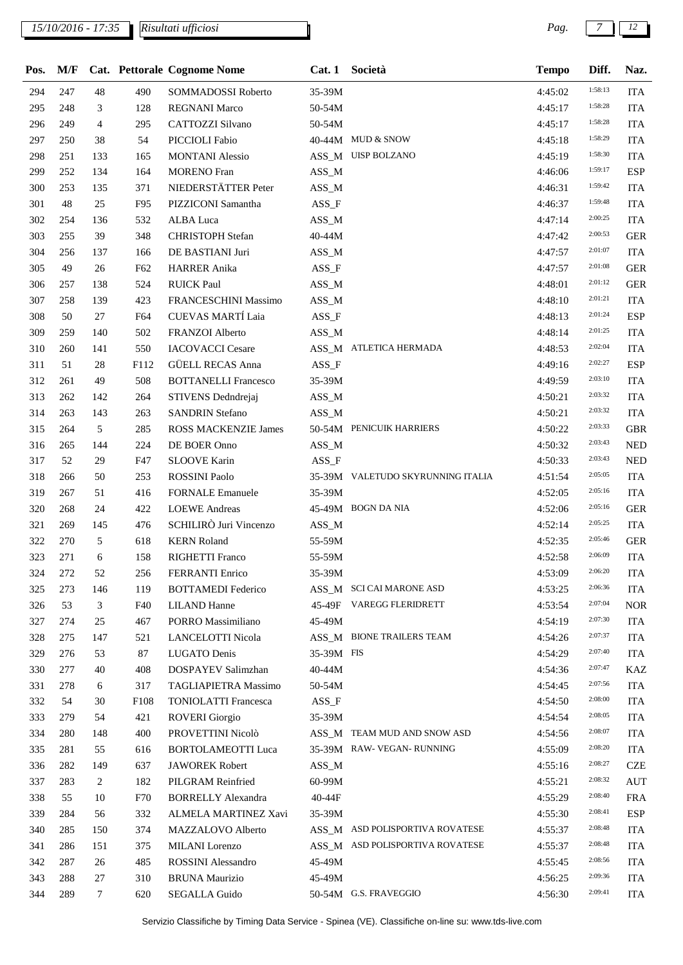## *15/10/2016 - 17:35 Pag. 7 12*

*Risultati ufficiosi*

| Pos. |     |                |         | M/F Cat. Pettorale Cognome Nome    |            | Cat. 1 Società                    | <b>Tempo</b> | Diff.              | Naz.       |
|------|-----|----------------|---------|------------------------------------|------------|-----------------------------------|--------------|--------------------|------------|
| 294  | 247 | 48             | 490     | SOMMADOSSI Roberto                 | 35-39M     |                                   | 4:45:02      | 1:58:13            | <b>ITA</b> |
| 295  | 248 | 3              | 128     | <b>REGNANI Marco</b>               | 50-54M     |                                   | 4:45:17      | 1:58:28            | <b>ITA</b> |
| 296  | 249 | $\overline{4}$ | 295     | CATTOZZI Silvano                   | 50-54M     |                                   | 4:45:17      | 1:58:28            | <b>ITA</b> |
| 297  | 250 | 38             | 54      | PICCIOLI Fabio                     |            | 40-44M MUD & SNOW                 | 4:45:18      | 1:58:29            | <b>ITA</b> |
| 298  | 251 | 133            | 165     | <b>MONTANI</b> Alessio             |            | ASS_M UISP BOLZANO                | 4:45:19      | 1:58:30            | <b>ITA</b> |
| 299  | 252 | 134            | 164     | <b>MORENO</b> Fran                 | $ASS\_M$   |                                   | 4:46:06      | 1:59:17            | <b>ESP</b> |
| 300  | 253 | 135            | 371     | NIEDERSTÄTTER Peter                | $ASS\_M$   |                                   | 4:46:31      | 1:59:42            | <b>ITA</b> |
| 301  | 48  | 25             | F95     | PIZZICONI Samantha                 | $ASS_F$    |                                   | 4:46:37      | 1:59:48            | <b>ITA</b> |
| 302  | 254 | 136            | 532     | ALBA Luca                          | ASS_M      |                                   | 4:47:14      | 2:00:25            | <b>ITA</b> |
| 303  | 255 | 39             | 348     | <b>CHRISTOPH</b> Stefan            | 40-44M     |                                   | 4:47:42      | 2:00:53            | <b>GER</b> |
| 304  | 256 | 137            | 166     | DE BASTIANI Juri                   | ASS_M      |                                   | 4:47:57      | 2:01:07            | <b>ITA</b> |
| 305  | 49  | 26             | F62     | <b>HARRER Anika</b>                | $ASS_F$    |                                   | 4:47:57      | 2:01:08            | <b>GER</b> |
| 306  | 257 | 138            | 524     | <b>RUICK Paul</b>                  | $ASS\_M$   |                                   | 4:48:01      | 2:01:12            | <b>GER</b> |
| 307  | 258 | 139            | 423     | FRANCESCHINI Massimo               | $ASS\_M$   |                                   | 4:48:10      | 2:01:21            | <b>ITA</b> |
| 308  | 50  | 27             | F64     | <b>CUEVAS MARTÍ Laia</b>           | $ASS_F$    |                                   | 4:48:13      | 2:01:24            | <b>ESP</b> |
| 309  | 259 | 140            | 502     | FRANZOI Alberto                    | ASS_M      |                                   | 4:48:14      | 2:01:25            | <b>ITA</b> |
| 310  | 260 | 141            | 550     | <b>IACOVACCI Cesare</b>            |            | ASS_M ATLETICA HERMADA            | 4:48:53      | 2:02:04            | <b>ITA</b> |
| 311  | 51  | 28             | F112    | <b>GÜELL RECAS Anna</b>            | $ASS_F$    |                                   | 4:49:16      | 2:02:27            | <b>ESP</b> |
| 312  | 261 | 49             | 508     | <b>BOTTANELLI Francesco</b>        | 35-39M     |                                   | 4:49:59      | 2:03:10            | <b>ITA</b> |
| 313  | 262 | 142            | 264     | STIVENS Dedndrejaj                 | $ASS\_M$   |                                   | 4:50:21      | 2:03:32            | <b>ITA</b> |
| 314  | 263 | 143            | 263     | <b>SANDRIN Stefano</b>             | ASS_M      |                                   | 4:50:21      | 2:03:32            | <b>ITA</b> |
| 315  | 264 | $\sqrt{5}$     | 285     | ROSS MACKENZIE James               |            | 50-54M PENICUIK HARRIERS          | 4:50:22      | 2:03:33            | <b>GBR</b> |
| 316  | 265 | 144            | 224     | DE BOER Onno                       | $ASS\_M$   |                                   | 4:50:32      | 2:03:43            | <b>NED</b> |
| 317  | 52  | 29             | F47     | <b>SLOOVE Karin</b>                | ASS_F      |                                   | 4:50:33      | 2:03:43            | <b>NED</b> |
| 318  | 266 | 50             | 253     | <b>ROSSINI Paolo</b>               |            | 35-39M VALETUDO SKYRUNNING ITALIA | 4:51:54      | 2:05:05            | <b>ITA</b> |
| 319  | 267 | 51             | 416     | <b>FORNALE Emanuele</b>            | 35-39M     |                                   | 4:52:05      | 2:05:16            | <b>ITA</b> |
| 320  | 268 | 24             | 422     | <b>LOEWE</b> Andreas               |            | 45-49M BOGN DA NIA                | 4:52:06      | 2:05:16            | <b>GER</b> |
| 321  | 269 | 145            | 476     | SCHILIRÒ Juri Vincenzo             | ASS_M      |                                   | 4:52:14      | 2:05:25            | <b>ITA</b> |
| 322  | 270 | 5              | 618     | <b>KERN Roland</b>                 | 55-59M     |                                   | 4:52:35      | 2:05:46            | <b>GER</b> |
| 323  | 271 |                |         |                                    |            |                                   |              | 2:06:09            | <b>ITA</b> |
|      |     | 6              | 158     | RIGHETTI Franco<br>FERRANTI Enrico | 55-59M     |                                   | 4:52:58      | 2:06:20            |            |
| 324  | 272 | 52             | $256\,$ |                                    | 35-39M     | ASS_M SCI CAI MARONE ASD          | 4:53:09      | 2:06:36            | <b>ITA</b> |
| 325  | 273 | 146            | 119     | <b>BOTTAMEDI Federico</b>          |            |                                   | 4:53:25      | 2:07:04            | <b>ITA</b> |
| 326  | 53  | 3              | F40     | <b>LILAND</b> Hanne                |            | 45-49F VAREGG FLERIDRETT          | 4:53:54      | 2:07:30            | <b>NOR</b> |
| 327  | 274 | 25             | 467     | PORRO Massimiliano                 | 45-49M     |                                   | 4:54:19      | 2:07:37            | <b>ITA</b> |
| 328  | 275 | 147            | 521     | LANCELOTTI Nicola                  |            | ASS_M BIONE TRAILERS TEAM         | 4:54:26      | 2:07:40            | <b>ITA</b> |
| 329  | 276 | 53             | 87      | LUGATO Denis                       | 35-39M FIS |                                   | 4:54:29      |                    | <b>ITA</b> |
| 330  | 277 | 40             | 408     | DOSPAYEV Salimzhan                 | 40-44M     |                                   | 4:54:36      | 2:07:47<br>2:07:56 | KAZ        |
| 331  | 278 | 6              | 317     | TAGLIAPIETRA Massimo               | 50-54M     |                                   | 4:54:45      |                    | <b>ITA</b> |
| 332  | 54  | 30             | F108    | <b>TONIOLATTI Francesca</b>        | $ASS_F$    |                                   | 4:54:50      | 2:08:00            | <b>ITA</b> |
| 333  | 279 | 54             | 421     | <b>ROVERI</b> Giorgio              | 35-39M     |                                   | 4:54:54      | 2:08:05            | <b>ITA</b> |
| 334  | 280 | 148            | 400     | PROVETTINI Nicolò                  |            | ASS_M TEAM MUD AND SNOW ASD       | 4:54:56      | 2:08:07            | <b>ITA</b> |
| 335  | 281 | 55             | 616     | <b>BORTOLAMEOTTI Luca</b>          |            | 35-39M RAW- VEGAN- RUNNING        | 4:55:09      | 2:08:20            | <b>ITA</b> |
| 336  | 282 | 149            | 637     | <b>JAWOREK Robert</b>              | ASS_M      |                                   | 4:55:16      | 2:08:27            | <b>CZE</b> |
| 337  | 283 | 2              | 182     | PILGRAM Reinfried                  | 60-99M     |                                   | 4:55:21      | 2:08:32            | <b>AUT</b> |
| 338  | 55  | 10             | F70     | <b>BORRELLY Alexandra</b>          | 40-44F     |                                   | 4:55:29      | 2:08:40            | <b>FRA</b> |
| 339  | 284 | 56             | 332     | ALMELA MARTINEZ Xavi               | 35-39M     |                                   | 4:55:30      | 2:08:41            | <b>ESP</b> |
| 340  | 285 | 150            | 374     | MAZZALOVO Alberto                  |            | ASS_M ASD POLISPORTIVA ROVATESE   | 4:55:37      | 2:08:48            | <b>ITA</b> |
| 341  | 286 | 151            | 375     | MILANI Lorenzo                     |            | ASS_M ASD POLISPORTIVA ROVATESE   | 4:55:37      | 2:08:48            | <b>ITA</b> |
| 342  | 287 | 26             | 485     | ROSSINI Alessandro                 | 45-49M     |                                   | 4:55:45      | 2:08:56            | <b>ITA</b> |
| 343  | 288 | 27             | 310     | <b>BRUNA Maurizio</b>              | 45-49M     |                                   | 4:56:25      | 2:09:36            | <b>ITA</b> |
| 344  | 289 | $\tau$         | 620     | SEGALLA Guido                      |            | 50-54M G.S. FRAVEGGIO             | 4:56:30      | 2:09:41            | <b>ITA</b> |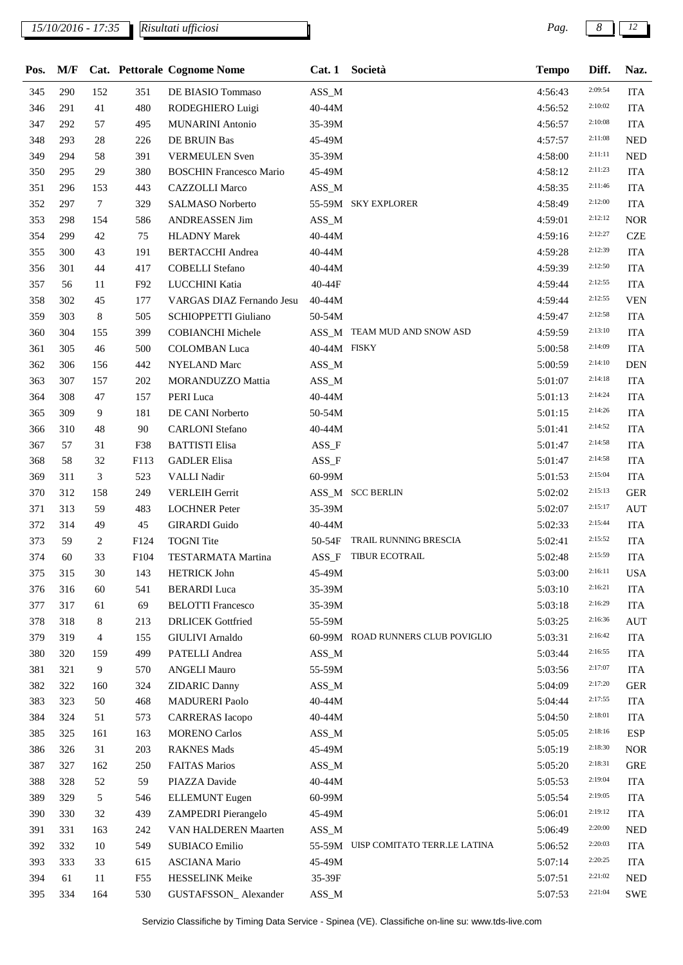*15/10/2016 - 17:35 Pag. 8 12*

*Risultati ufficiosi*

| Pos. | M/F |          |            | Cat. Pettorale Cognome Nome               |              | Cat. 1 Società                      | <b>Tempo</b> | Diff.              | Naz.                     |
|------|-----|----------|------------|-------------------------------------------|--------------|-------------------------------------|--------------|--------------------|--------------------------|
| 345  | 290 | 152      | 351        | DE BIASIO Tommaso                         | $ASS\_M$     |                                     | 4:56:43      | 2:09:54            | <b>ITA</b>               |
| 346  | 291 | 41       | 480        | RODEGHIERO Luigi                          | 40-44M       |                                     | 4:56:52      | 2:10:02            | <b>ITA</b>               |
| 347  | 292 | 57       | 495        | <b>MUNARINI</b> Antonio                   | 35-39M       |                                     | 4:56:57      | 2:10:08            | <b>ITA</b>               |
| 348  | 293 | 28       | 226        | DE BRUIN Bas                              | 45-49M       |                                     | 4:57:57      | 2:11:08            | <b>NED</b>               |
| 349  | 294 | 58       | 391        | <b>VERMEULEN</b> Sven                     | 35-39M       |                                     | 4:58:00      | 2:11:11            | <b>NED</b>               |
| 350  | 295 | 29       | 380        | <b>BOSCHIN Francesco Mario</b>            | 45-49M       |                                     | 4:58:12      | 2:11:23            | <b>ITA</b>               |
| 351  | 296 | 153      | 443        | <b>CAZZOLLI Marco</b>                     | ASS_M        |                                     | 4:58:35      | 2:11:46            | <b>ITA</b>               |
| 352  | 297 | $\tau$   | 329        | <b>SALMASO Norberto</b>                   |              | 55-59M SKY EXPLORER                 | 4:58:49      | 2:12:00            | <b>ITA</b>               |
| 353  | 298 | 154      | 586        | ANDREASSEN Jim                            | $ASS\_M$     |                                     | 4:59:01      | 2:12:12            | <b>NOR</b>               |
| 354  | 299 | 42       | 75         | <b>HLADNY Marek</b>                       | 40-44M       |                                     | 4:59:16      | 2:12:27            | <b>CZE</b>               |
| 355  | 300 | 43       | 191        | <b>BERTACCHI</b> Andrea                   | 40-44M       |                                     | 4:59:28      | 2:12:39            | <b>ITA</b>               |
| 356  | 301 | 44       | 417        | <b>COBELLI</b> Stefano                    | 40-44M       |                                     | 4:59:39      | 2:12:50            | <b>ITA</b>               |
| 357  | 56  | 11       | F92        | LUCCHINI Katia                            | 40-44F       |                                     | 4:59:44      | 2:12:55            | <b>ITA</b>               |
| 358  | 302 | 45       | 177        | VARGAS DIAZ Fernando Jesu                 | $40 - 44M$   |                                     | 4:59:44      | 2:12:55            | <b>VEN</b>               |
| 359  | 303 | 8        | 505        | <b>SCHIOPPETTI Giuliano</b>               | 50-54M       |                                     | 4:59:47      | 2:12:58            | <b>ITA</b>               |
| 360  | 304 | 155      | 399        | COBIANCHI Michele                         |              | ASS_M TEAM MUD AND SNOW ASD         | 4:59:59      | 2:13:10            | <b>ITA</b>               |
| 361  | 305 | 46       | 500        | <b>COLOMBAN</b> Luca                      | 40-44M FISKY |                                     | 5:00:58      | 2:14:09            | <b>ITA</b>               |
| 362  | 306 | 156      | 442        | <b>NYELAND</b> Marc                       | $ASS\_M$     |                                     | 5:00:59      | 2:14:10            | <b>DEN</b>               |
| 363  | 307 | 157      | 202        | MORANDUZZO Mattia                         | $ASS\_M$     |                                     | 5:01:07      | 2:14:18            | <b>ITA</b>               |
| 364  | 308 | 47       | 157        | PERI Luca                                 | 40-44M       |                                     | 5:01:13      | 2:14:24            | <b>ITA</b>               |
| 365  | 309 | 9        | 181        | DE CANI Norberto                          | 50-54M       |                                     | 5:01:15      | 2:14:26            | <b>ITA</b>               |
|      | 310 | 48       | 90         | <b>CARLONI</b> Stefano                    | 40-44M       |                                     | 5:01:41      | 2:14:52            | <b>ITA</b>               |
| 366  | 57  |          |            | <b>BATTISTI</b> Elisa                     |              |                                     |              | 2:14:58            | <b>ITA</b>               |
| 367  | 58  | 31<br>32 | F38        |                                           | $ASS_F$      |                                     | 5:01:47      | 2:14:58            |                          |
| 368  | 311 | 3        | F113       | <b>GADLER Elisa</b>                       | $ASS_F$      |                                     | 5:01:47      | 2:15:04            | <b>ITA</b>               |
| 369  | 312 | 158      | 523        | VALLI Nadir                               | 60-99M       | ASS_M SCC BERLIN                    | 5:01:53      | 2:15:13            | <b>ITA</b><br><b>GER</b> |
| 370  | 313 | 59       | 249<br>483 | <b>VERLEIH Gerrit</b>                     |              |                                     | 5:02:02      | 2:15:17            |                          |
| 371  |     |          |            | <b>LOCHNER Peter</b>                      | 35-39M       |                                     | 5:02:07      | 2:15:44            | <b>AUT</b>               |
| 372  | 314 | 49       | 45         | <b>GIRARDI</b> Guido<br><b>TOGNI</b> Tite | 40-44M       | TRAIL RUNNING BRESCIA               | 5:02:33      | 2:15:52            | <b>ITA</b>               |
| 373  | 59  | 2        | F124       |                                           | 50-54F       | ASS_F TIBUR ECOTRAIL                | 5:02:41      | 2:15:59            | <b>ITA</b>               |
| 374  | 60  | 33       | F104       | TESTARMATA Martina                        |              |                                     | 5:02:48      | 2:16:11            | <b>ITA</b>               |
| 375  | 315 | 30       | 143        | <b>HETRICK John</b>                       | 45-49M       |                                     | 5:03:00      | 2:16:21            | <b>USA</b>               |
| 376  | 316 | 60       | 541        | <b>BERARDI</b> Luca                       | 35-39M       |                                     | 5:03:10      | 2:16:29            | <b>ITA</b>               |
| 377  | 317 | 61       | 69         | <b>BELOTTI Francesco</b>                  | 35-39M       |                                     | 5:03:18      | 2:16:36            | <b>ITA</b>               |
| 378  | 318 | 8        | 213        | <b>DRLICEK</b> Gottfried                  | 55-59M       | 60-99M ROAD RUNNERS CLUB POVIGLIO   | 5:03:25      | 2:16:42            | <b>AUT</b>               |
| 379  | 319 | 4        | 155        | <b>GIULIVI</b> Arnaldo                    |              |                                     | 5:03:31      | 2:16:55            | <b>ITA</b>               |
| 380  | 320 | 159      | 499        | PATELLI Andrea                            | $ASS\_M$     |                                     | 5:03:44      | 2:17:07            | <b>ITA</b>               |
| 381  | 321 | 9        | 570        | <b>ANGELI Mauro</b>                       | 55-59M       |                                     | 5:03:56      | 2:17:20            | <b>ITA</b>               |
| 382  | 322 | 160      | 324        | <b>ZIDARIC Danny</b>                      | $ASS\_M$     |                                     | 5:04:09      | 2:17:55            | <b>GER</b>               |
| 383  | 323 | 50       | 468        | <b>MADURERI Paolo</b>                     | 40-44M       |                                     | 5:04:44      |                    | <b>ITA</b>               |
| 384  | 324 | 51       | 573        | <b>CARRERAS</b> Iacopo                    | 40-44M       |                                     | 5:04:50      | 2:18:01<br>2:18:16 | <b>ITA</b>               |
| 385  | 325 | 161      | 163        | <b>MORENO Carlos</b>                      | $ASS\_M$     |                                     | 5:05:05      |                    | <b>ESP</b>               |
| 386  | 326 | 31       | 203        | <b>RAKNES Mads</b>                        | 45-49M       |                                     | 5:05:19      | 2:18:30            | <b>NOR</b>               |
| 387  | 327 | 162      | 250        | <b>FAITAS Marios</b>                      | $ASS\_M$     |                                     | 5:05:20      | 2:18:31            | <b>GRE</b>               |
| 388  | 328 | 52       | 59         | PIAZZA Davide                             | 40-44M       |                                     | 5:05:53      | 2:19:04            | <b>ITA</b>               |
| 389  | 329 | 5        | 546        | <b>ELLEMUNT</b> Eugen                     | 60-99M       |                                     | 5:05:54      | 2:19:05            | <b>ITA</b>               |
| 390  | 330 | 32       | 439        | ZAMPEDRI Pierangelo                       | 45-49M       |                                     | 5:06:01      | 2:19:12            | <b>ITA</b>               |
| 391  | 331 | 163      | 242        | VAN HALDEREN Maarten                      | $ASS\_M$     |                                     | 5:06:49      | 2:20:00            | <b>NED</b>               |
| 392  | 332 | 10       | 549        | <b>SUBIACO Emilio</b>                     |              | 55-59M UISP COMITATO TERR.LE LATINA | 5:06:52      | 2:20:03            | <b>ITA</b>               |
| 393  | 333 | 33       | 615        | <b>ASCIANA Mario</b>                      | 45-49M       |                                     | 5:07:14      | 2:20:25            | <b>ITA</b>               |
| 394  | 61  | 11       | F55        | HESSELINK Meike                           | 35-39F       |                                     | 5:07:51      | 2:21:02            | <b>NED</b>               |
| 395  | 334 | 164      | 530        | GUSTAFSSON_Alexander                      | $ASS\_M$     |                                     | 5:07:53      | 2:21:04            | <b>SWE</b>               |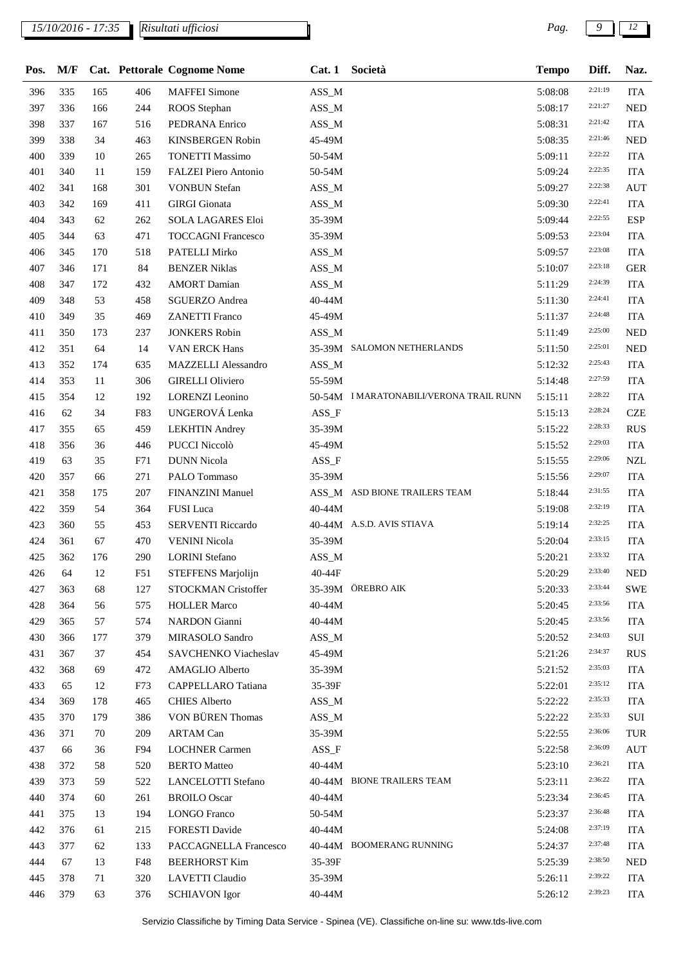## *15/10/2016 - 17:35 Pag. 9 12*

*Risultati ufficiosi*

| Pos. | M/F       |     |          | Cat. Pettorale Cognome Nome | Cat.1    | Società                                | <b>Tempo</b> | Diff.   | Naz.                     |
|------|-----------|-----|----------|-----------------------------|----------|----------------------------------------|--------------|---------|--------------------------|
| 396  | 335       | 165 | 406      | <b>MAFFEI</b> Simone        | ASS_M    |                                        | 5:08:08      | 2:21:19 | <b>ITA</b>               |
| 397  | 336       | 166 | 244      | ROOS Stephan                | $ASS\_M$ |                                        | 5:08:17      | 2:21:27 | <b>NED</b>               |
| 398  | 337       | 167 | 516      | PEDRANA Enrico              | $ASS\_M$ |                                        | 5:08:31      | 2:21:42 | <b>ITA</b>               |
| 399  | 338       | 34  | 463      | <b>KINSBERGEN Robin</b>     | 45-49M   |                                        | 5:08:35      | 2:21:46 | <b>NED</b>               |
| 400  | 339       | 10  | 265      | <b>TONETTI Massimo</b>      | 50-54M   |                                        | 5:09:11      | 2:22:22 | <b>ITA</b>               |
| 401  | 340       | 11  | 159      | FALZEI Piero Antonio        | 50-54M   |                                        | 5:09:24      | 2:22:35 | <b>ITA</b>               |
| 402  | 341       | 168 | 301      | <b>VONBUN Stefan</b>        | ASS_M    |                                        | 5:09:27      | 2:22:38 | <b>AUT</b>               |
| 403  | 342       | 169 | 411      | <b>GIRGI</b> Gionata        | $ASS\_M$ |                                        | 5:09:30      | 2:22:41 | <b>ITA</b>               |
| 404  | 343       | 62  | 262      | <b>SOLA LAGARES Eloi</b>    | 35-39M   |                                        | 5:09:44      | 2:22:55 | <b>ESP</b>               |
| 405  | 344       | 63  | 471      | <b>TOCCAGNI Francesco</b>   | 35-39M   |                                        | 5:09:53      | 2:23:04 | <b>ITA</b>               |
| 406  | 345       | 170 | 518      | PATELLI Mirko               | ASS_M    |                                        | 5:09:57      | 2:23:08 | <b>ITA</b>               |
| 407  | 346       | 171 | $\bf 84$ | <b>BENZER Niklas</b>        | $ASS\_M$ |                                        | 5:10:07      | 2:23:18 | <b>GER</b>               |
| 408  | 347       | 172 | 432      | <b>AMORT</b> Damian         | ASS_M    |                                        | 5:11:29      | 2:24:39 | <b>ITA</b>               |
| 409  | 348       | 53  | 458      | <b>SGUERZO</b> Andrea       | 40-44M   |                                        | 5:11:30      | 2:24:41 | <b>ITA</b>               |
| 410  | 349       | 35  | 469      | <b>ZANETTI Franco</b>       | 45-49M   |                                        | 5:11:37      | 2:24:48 | <b>ITA</b>               |
| 411  | 350       | 173 | 237      | <b>JONKERS Robin</b>        | ASS_M    |                                        | 5:11:49      | 2:25:00 | <b>NED</b>               |
| 412  | 351       | 64  | 14       | <b>VAN ERCK Hans</b>        |          | 35-39M SALOMON NETHERLANDS             | 5:11:50      | 2:25:01 | <b>NED</b>               |
| 413  | 352       | 174 | 635      | MAZZELLI Alessandro         | $ASS\_M$ |                                        | 5:12:32      | 2:25:43 | <b>ITA</b>               |
| 414  | 353       | 11  | 306      | <b>GIRELLI Oliviero</b>     | 55-59M   |                                        | 5:14:48      | 2:27:59 | <b>ITA</b>               |
| 415  | 354       | 12  | 192      | <b>LORENZI</b> Leonino      |          | 50-54M IMARATONABILI/VERONA TRAIL RUNN | 5:15:11      | 2:28:22 | <b>ITA</b>               |
| 416  | 62        | 34  | F83      | UNGEROVÁ Lenka              | $ASS_F$  |                                        | 5:15:13      | 2:28:24 | <b>CZE</b>               |
| 417  | 355       | 65  | 459      | <b>LEKHTIN</b> Andrey       | 35-39M   |                                        |              | 2:28:33 | <b>RUS</b>               |
| 418  | 356       | 36  |          | PUCCI Niccolò               |          |                                        | 5:15:22      | 2:29:03 |                          |
| 419  |           | 35  | 446      | <b>DUNN</b> Nicola          | 45-49M   |                                        | 5:15:52      | 2:29:06 | <b>ITA</b><br><b>NZL</b> |
|      | 63<br>357 | 66  | F71      |                             | $ASS_F$  |                                        | 5:15:55      | 2:29:07 |                          |
| 420  |           |     | 271      | PALO Tommaso                | 35-39M   | ASS_M ASD BIONE TRAILERS TEAM          | 5:15:56      | 2:31:55 | <b>ITA</b>               |
| 421  | 358       | 175 | 207      | FINANZINI Manuel            |          |                                        | 5:18:44      | 2:32:19 | <b>ITA</b>               |
| 422  | 359       | 54  | 364      | FUSI Luca                   | 40-44M   |                                        | 5:19:08      | 2:32:25 | <b>ITA</b>               |
| 423  | 360       | 55  | 453      | <b>SERVENTI Riccardo</b>    |          | 40-44M A.S.D. AVIS STIAVA              | 5:19:14      | 2:33:15 | <b>ITA</b>               |
| 424  | 361       | 67  | 470      | <b>VENINI Nicola</b>        | 35-39M   |                                        | 5:20:04      | 2:33:32 | <b>ITA</b>               |
| 425  | 362       | 176 | 290      | <b>LORINI</b> Stefano       | ASS_M    |                                        | 5:20:21      | 2:33:40 | <b>ITA</b>               |
| 426  | 64        | 12  | F51      | STEFFENS Marjolijn          | 40-44F   |                                        | 5:20:29      |         | <b>NED</b>               |
| 427  | 363       | 68  | 127      | STOCKMAN Cristoffer         |          | 35-39M ÖREBRO AIK                      | 5:20:33      | 2:33:44 | <b>SWE</b>               |
| 428  | 364       | 56  | 575      | <b>HOLLER Marco</b>         | 40-44M   |                                        | 5:20:45      | 2:33:56 | <b>ITA</b>               |
| 429  | 365       | 57  | 574      | <b>NARDON</b> Gianni        | 40-44M   |                                        | 5:20:45      | 2:33:56 | <b>ITA</b>               |
| 430  | 366       | 177 | 379      | MIRASOLO Sandro             | $ASS\_M$ |                                        | 5:20:52      | 2:34:03 | SUI                      |
| 431  | 367       | 37  | 454      | SAVCHENKO Viacheslav        | 45-49M   |                                        | 5:21:26      | 2:34:37 | <b>RUS</b>               |
| 432  | 368       | 69  | 472      | AMAGLIO Alberto             | 35-39M   |                                        | 5:21:52      | 2:35:03 | <b>ITA</b>               |
| 433  | 65        | 12  | F73      | CAPPELLARO Tatiana          | 35-39F   |                                        | 5:22:01      | 2:35:12 | <b>ITA</b>               |
| 434  | 369       | 178 | 465      | <b>CHIES Alberto</b>        | $ASS\_M$ |                                        | 5:22:22      | 2:35:33 | <b>ITA</b>               |
| 435  | 370       | 179 | 386      | VON BÜREN Thomas            | $ASS\_M$ |                                        | 5:22:22      | 2:35:33 | SUI                      |
| 436  | 371       | 70  | 209      | <b>ARTAM Can</b>            | 35-39M   |                                        | 5:22:55      | 2:36:06 | TUR                      |
| 437  | 66        | 36  | F94      | <b>LOCHNER Carmen</b>       | $ASS_F$  |                                        | 5:22:58      | 2:36:09 | <b>AUT</b>               |
| 438  | 372       | 58  | 520      | <b>BERTO</b> Matteo         | 40-44M   |                                        | 5:23:10      | 2:36:21 | <b>ITA</b>               |
| 439  | 373       | 59  | 522      | <b>LANCELOTTI Stefano</b>   |          | 40-44M BIONE TRAILERS TEAM             | 5:23:11      | 2:36:22 | <b>ITA</b>               |
| 440  | 374       | 60  | 261      | <b>BROILO</b> Oscar         | 40-44M   |                                        | 5:23:34      | 2:36:45 | <b>ITA</b>               |
| 441  | 375       | 13  | 194      | <b>LONGO</b> Franco         | 50-54M   |                                        | 5:23:37      | 2:36:48 | <b>ITA</b>               |
| 442  | 376       | 61  | 215      | <b>FORESTI Davide</b>       | 40-44M   |                                        | 5:24:08      | 2:37:19 | <b>ITA</b>               |
| 443  | 377       | 62  | 133      | PACCAGNELLA Francesco       |          | 40-44M BOOMERANG RUNNING               | 5:24:37      | 2:37:48 | <b>ITA</b>               |
| 444  | 67        | 13  | F48      | <b>BEERHORST Kim</b>        | 35-39F   |                                        | 5:25:39      | 2:38:50 | <b>NED</b>               |
| 445  | 378       | 71  | 320      | LAVETTI Claudio             | 35-39M   |                                        | 5:26:11      | 2:39:22 | <b>ITA</b>               |
| 446  | 379       | 63  | 376      | <b>SCHIAVON</b> Igor        | 40-44M   |                                        | 5:26:12      | 2:39:23 | <b>ITA</b>               |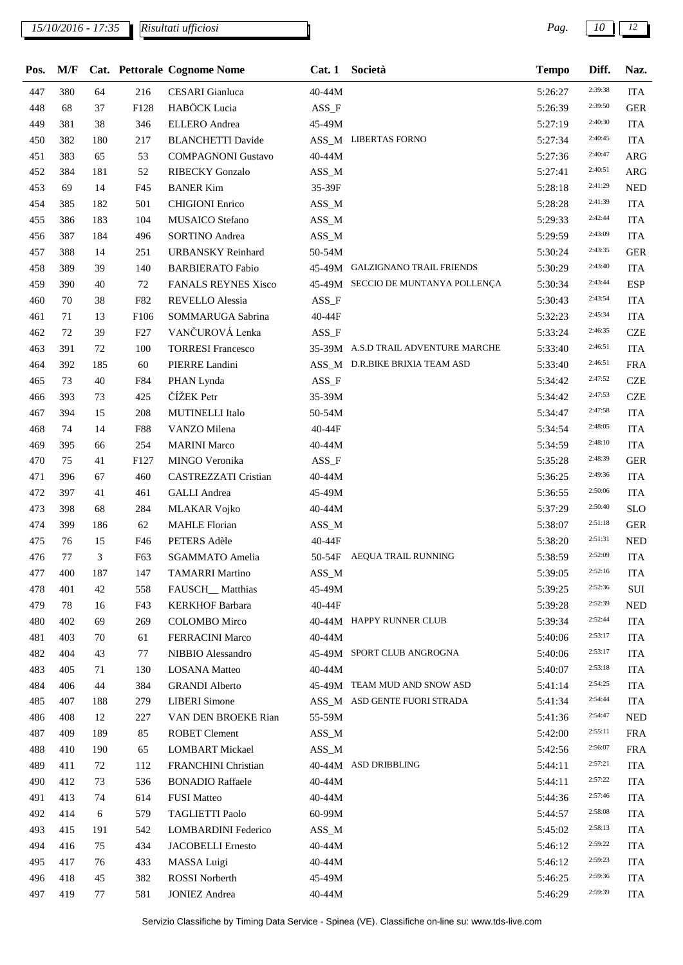*15/10/2016 - 17:35 Pag. 10 12*

*Risultati ufficiosi*

| Pos. | M/F       |          |            | Cat. Pettorale Cognome Nome | Cat.1    | Società                             | <b>Tempo</b> | Diff.              | Naz.       |
|------|-----------|----------|------------|-----------------------------|----------|-------------------------------------|--------------|--------------------|------------|
| 447  | 380       | 64       | 216        | <b>CESARI</b> Gianluca      | 40-44M   |                                     | 5:26:27      | 2:39:38            | <b>ITA</b> |
| 448  | 68        | 37       | F128       | HABÖCK Lucia                | $ASS_F$  |                                     | 5:26:39      | 2:39:50            | <b>GER</b> |
| 449  | 381       | 38       | 346        | <b>ELLERO</b> Andrea        | 45-49M   |                                     | 5:27:19      | 2:40:30            | <b>ITA</b> |
| 450  | 382       | 180      | 217        | <b>BLANCHETTI Davide</b>    |          | ASS_M LIBERTAS FORNO                | 5:27:34      | 2:40:45            | <b>ITA</b> |
| 451  | 383       | 65       | 53         | <b>COMPAGNONI Gustavo</b>   | 40-44M   |                                     | 5:27:36      | 2:40:47            | <b>ARG</b> |
| 452  | 384       | 181      | 52         | <b>RIBECKY</b> Gonzalo      | $ASS\_M$ |                                     | 5:27:41      | 2:40:51            | <b>ARG</b> |
| 453  | 69        | 14       | F45        | <b>BANER Kim</b>            | 35-39F   |                                     | 5:28:18      | 2:41:29            | <b>NED</b> |
| 454  | 385       | 182      | 501        | <b>CHIGIONI</b> Enrico      | $ASS\_M$ |                                     | 5:28:28      | 2:41:39            | <b>ITA</b> |
| 455  | 386       | 183      | 104        | MUSAICO Stefano             | $ASS\_M$ |                                     | 5:29:33      | 2:42:44            | <b>ITA</b> |
| 456  | 387       | 184      | 496        | <b>SORTINO Andrea</b>       | $ASS\_M$ |                                     | 5:29:59      | 2:43:09            | <b>ITA</b> |
| 457  | 388       | 14       | 251        | <b>URBANSKY Reinhard</b>    | 50-54M   |                                     | 5:30:24      | 2:43:35            | <b>GER</b> |
| 458  | 389       | 39       | 140        | <b>BARBIERATO Fabio</b>     |          | 45-49M GALZIGNANO TRAIL FRIENDS     | 5:30:29      | 2:43:40            | <b>ITA</b> |
| 459  | 390       | 40       | 72         | <b>FANALS REYNES Xisco</b>  |          | 45-49M SECCIO DE MUNTANYA POLLENÇA  | 5:30:34      | 2:43:44            | <b>ESP</b> |
| 460  | 70        | 38       | F82        | REVELLO Alessia             | $ASS_F$  |                                     | 5:30:43      | 2:43:54            | <b>ITA</b> |
| 461  | 71        | 13       | F106       | SOMMARUGA Sabrina           | 40-44F   |                                     | 5:32:23      | 2:45:34            | <b>ITA</b> |
| 462  | 72        | 39       | F27        | VANČUROVÁ Lenka             | $ASS_F$  |                                     | 5:33:24      | 2:46:35            | <b>CZE</b> |
| 463  | 391       | 72       | 100        | <b>TORRESI Francesco</b>    |          | 35-39M A.S.D TRAIL ADVENTURE MARCHE | 5:33:40      | 2:46:51            | <b>ITA</b> |
| 464  | 392       | 185      | 60         | PIERRE Landini              |          | ASS_M D.R.BIKE BRIXIA TEAM ASD      | 5:33:40      | 2:46:51            | <b>FRA</b> |
| 465  | 73        | 40       | F84        | PHAN Lynda                  | $ASS_F$  |                                     | 5:34:42      | 2:47:52            | <b>CZE</b> |
| 466  | 393       | 73       | 425        | ČÍŽEK Petr                  | 35-39M   |                                     | 5:34:42      | 2:47:53            | <b>CZE</b> |
| 467  | 394       | 15       | 208        | MUTINELLI Italo             | 50-54M   |                                     | 5:34:47      | 2:47:58            | <b>ITA</b> |
| 468  | 74        | 14       | <b>F88</b> | VANZO Milena                | 40-44F   |                                     | 5:34:54      | 2:48:05            | <b>ITA</b> |
| 469  | 395       | 66       | 254        | <b>MARINI Marco</b>         | 40-44M   |                                     | 5:34:59      | 2:48:10            | <b>ITA</b> |
| 470  | 75        | 41       | F127       | MINGO Veronika              | ASS_F    |                                     | 5:35:28      | 2:48:39            | <b>GER</b> |
| 471  | 396       | 67       | 460        | CASTREZZATI Cristian        | 40-44M   |                                     | 5:36:25      | 2:49:36            | <b>ITA</b> |
| 472  | 397       | 41       | 461        | <b>GALLI</b> Andrea         | 45-49M   |                                     | 5:36:55      | 2:50:06            | <b>ITA</b> |
| 473  | 398       | 68       | 284        | <b>MLAKAR Vojko</b>         | 40-44M   |                                     | 5:37:29      | 2:50:40            | <b>SLO</b> |
| 474  | 399       | 186      | 62         | <b>MAHLE Florian</b>        | $ASS\_M$ |                                     | 5:38:07      | 2:51:18            | <b>GER</b> |
| 475  | 76        | 15       | F46        | PETERS Adèle                | 40-44F   |                                     | 5:38:20      | 2:51:31            | <b>NED</b> |
| 476  | 77        | 3        | F63        | SGAMMATO Amelia             | 50-54F   | AEQUA TRAIL RUNNING                 | 5:38:59      | 2:52:09            | <b>ITA</b> |
| 477  | 400       | 187      | 147        | <b>TAMARRI Martino</b>      | $ASS\_M$ |                                     | 5:39:05      | 2:52:16            | <b>ITA</b> |
| 478  | 401       | 42       | 558        | FAUSCH_Matthias             | 45-49M   |                                     |              | 2:52:36            | SUI        |
|      |           |          |            |                             |          |                                     | 5:39:25      | 2:52:39            |            |
| 479  | 78<br>402 | 16       | F43        | <b>KERKHOF Barbara</b>      | 40-44F   | 40-44M HAPPY RUNNER CLUB            | 5:39:28      | 2:52:44            | <b>NED</b> |
| 480  | 403       | 69<br>70 | 269        | <b>COLOMBO</b> Mirco        |          |                                     | 5:39:34      | 2:53:17            | <b>ITA</b> |
| 481  | 404       |          | 61         | <b>FERRACINI Marco</b>      | 40-44M   | 45-49M SPORT CLUB ANGROGNA          | 5:40:06      | 2:53:17            | <b>ITA</b> |
| 482  |           | 43       | 77         | NIBBIO Alessandro           |          |                                     | 5:40:06      | 2:53:18            | <b>ITA</b> |
| 483  | 405       | 71       | 130        | <b>LOSANA</b> Matteo        | 40-44M   | 45-49M TEAM MUD AND SNOW ASD        | 5:40:07      | 2:54:25            | <b>ITA</b> |
| 484  | 406       | 44       | 384        | <b>GRANDI</b> Alberto       |          | ASS_M ASD GENTE FUORI STRADA        | 5:41:14      | 2:54:44            | <b>ITA</b> |
| 485  | 407       | 188      | 279        | <b>LIBERI</b> Simone        |          |                                     | 5:41:34      | 2:54:47            | <b>ITA</b> |
| 486  | 408       | 12       | 227        | VAN DEN BROEKE Rian         | 55-59M   |                                     | 5:41:36      | 2:55:11            | <b>NED</b> |
| 487  | 409       | 189      | 85         | <b>ROBET Clement</b>        | $ASS\_M$ |                                     | 5:42:00      | 2:56:07            | <b>FRA</b> |
| 488  | 410       | 190      | 65         | <b>LOMBART</b> Mickael      | $ASS\_M$ |                                     | 5:42:56      |                    | <b>FRA</b> |
| 489  | 411       | 72       | 112        | FRANCHINI Christian         |          | 40-44M ASD DRIBBLING                | 5:44:11      | 2:57:21<br>2:57:22 | <b>ITA</b> |
| 490  | 412       | 73       | 536        | <b>BONADIO Raffaele</b>     | 40-44M   |                                     | 5:44:11      | 2:57:46            | <b>ITA</b> |
| 491  | 413       | 74       | 614        | <b>FUSI Matteo</b>          | 40-44M   |                                     | 5:44:36      |                    | ITA        |
| 492  | 414       | 6        | 579        | TAGLIETTI Paolo             | 60-99M   |                                     | 5:44:57      | 2:58:08            | <b>ITA</b> |
| 493  | 415       | 191      | 542        | <b>LOMBARDINI</b> Federico  | $ASS\_M$ |                                     | 5:45:02      | 2:58:13            | <b>ITA</b> |
| 494  | 416       | 75       | 434        | <b>JACOBELLI Ernesto</b>    | 40-44M   |                                     | 5:46:12      | 2:59:22            | <b>ITA</b> |
| 495  | 417       | 76       | 433        | <b>MASSA Luigi</b>          | 40-44M   |                                     | 5:46:12      | 2:59:23            | <b>ITA</b> |
| 496  | 418       | 45       | 382        | <b>ROSSI</b> Norberth       | 45-49M   |                                     | 5:46:25      | 2:59:36            | <b>ITA</b> |
| 497  | 419       | 77       | 581        | <b>JONIEZ Andrea</b>        | 40-44M   |                                     | 5:46:29      | 2:59:39            | <b>ITA</b> |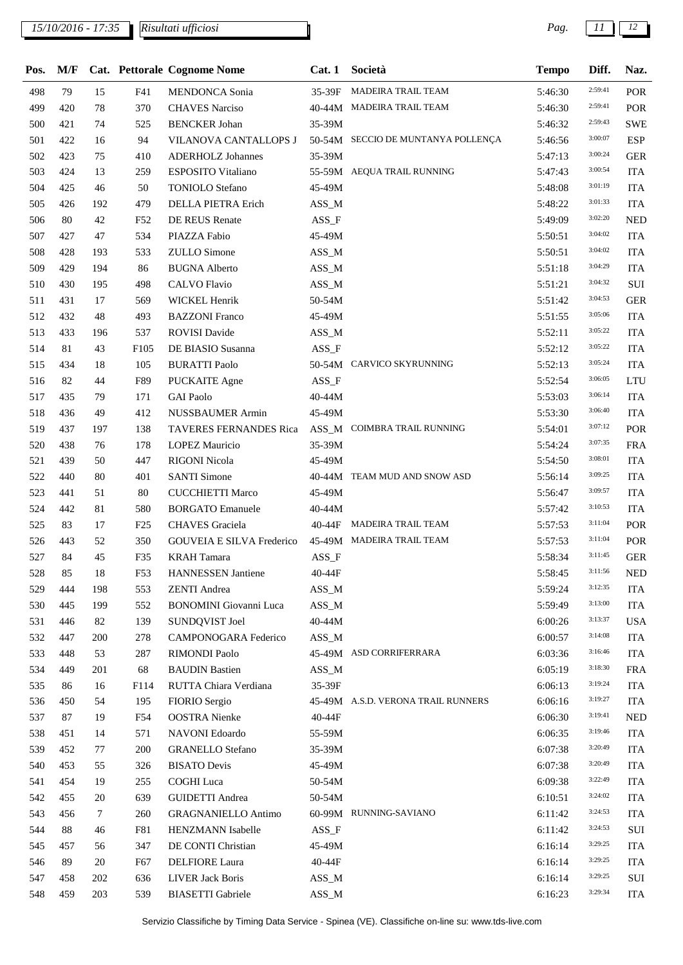## *15/10/2016 - 17:35 Pag. 11 12*

*Risultati ufficiosi*

| Pos. | M/F |     |                  | Cat. Pettorale Cognome Nome      | Cat.1    | Società                            | <b>Tempo</b> | Diff.   | Naz.       |
|------|-----|-----|------------------|----------------------------------|----------|------------------------------------|--------------|---------|------------|
| 498  | 79  | 15  | F41              | <b>MENDONCA</b> Sonia            |          | 35-39F MADEIRA TRAIL TEAM          | 5:46:30      | 2:59:41 | POR        |
| 499  | 420 | 78  | 370              | <b>CHAVES Narciso</b>            |          | 40-44M MADEIRA TRAIL TEAM          | 5:46:30      | 2:59:41 | POR        |
| 500  | 421 | 74  | 525              | <b>BENCKER</b> Johan             | 35-39M   |                                    | 5:46:32      | 2:59:43 | <b>SWE</b> |
| 501  | 422 | 16  | 94               | VILANOVA CANTALLOPS J            |          | 50-54M SECCIO DE MUNTANYA POLLENÇA | 5:46:56      | 3:00:07 | <b>ESP</b> |
| 502  | 423 | 75  | 410              | <b>ADERHOLZ Johannes</b>         | 35-39M   |                                    | 5:47:13      | 3:00:24 | <b>GER</b> |
| 503  | 424 | 13  | 259              | <b>ESPOSITO Vitaliano</b>        |          | 55-59M AEQUA TRAIL RUNNING         | 5:47:43      | 3:00:54 | <b>ITA</b> |
| 504  | 425 | 46  | 50               | <b>TONIOLO</b> Stefano           | 45-49M   |                                    | 5:48:08      | 3:01:19 | <b>ITA</b> |
| 505  | 426 | 192 | 479              | DELLA PIETRA Erich               | $ASS\_M$ |                                    | 5:48:22      | 3:01:33 | <b>ITA</b> |
| 506  | 80  | 42  | F52              | DE REUS Renate                   | $ASS_F$  |                                    | 5:49:09      | 3:02:20 | <b>NED</b> |
| 507  | 427 | 47  | 534              | PIAZZA Fabio                     | 45-49M   |                                    | 5:50:51      | 3:04:02 | <b>ITA</b> |
| 508  | 428 | 193 | 533              | <b>ZULLO</b> Simone              | $ASS\_M$ |                                    | 5:50:51      | 3:04:02 | <b>ITA</b> |
| 509  | 429 | 194 | 86               | <b>BUGNA</b> Alberto             | $ASS\_M$ |                                    | 5:51:18      | 3:04:29 | <b>ITA</b> |
| 510  | 430 | 195 | 498              | <b>CALVO Flavio</b>              | ASS_M    |                                    | 5:51:21      | 3:04:32 | $\rm SUI$  |
| 511  | 431 | 17  | 569              | WICKEL Henrik                    | 50-54M   |                                    | 5:51:42      | 3:04:53 | <b>GER</b> |
| 512  | 432 | 48  | 493              | <b>BAZZONI</b> Franco            | 45-49M   |                                    | 5:51:55      | 3:05:06 | <b>ITA</b> |
| 513  | 433 | 196 | 537              | <b>ROVISI Davide</b>             | $ASS\_M$ |                                    | 5:52:11      | 3:05:22 | <b>ITA</b> |
| 514  | 81  | 43  | F <sub>105</sub> | DE BIASIO Susanna                | $ASS_F$  |                                    | 5:52:12      | 3:05:22 | <b>ITA</b> |
| 515  | 434 | 18  | 105              | <b>BURATTI Paolo</b>             |          | 50-54M CARVICO SKYRUNNING          | 5:52:13      | 3:05:24 | <b>ITA</b> |
| 516  | 82  | 44  | F89              | <b>PUCKAITE</b> Agne             | $ASS_F$  |                                    | 5:52:54      | 3:06:05 | <b>LTU</b> |
| 517  | 435 | 79  | 171              | <b>GAI Paolo</b>                 | 40-44M   |                                    | 5:53:03      | 3:06:14 | <b>ITA</b> |
| 518  | 436 | 49  | 412              | NUSSBAUMER Armin                 | 45-49M   |                                    | 5:53:30      | 3:06:40 | <b>ITA</b> |
| 519  | 437 | 197 | 138              | TAVERES FERNANDES Rica           |          | ASS_M COIMBRA TRAIL RUNNING        | 5:54:01      | 3:07:12 | POR        |
| 520  | 438 | 76  | 178              | <b>LOPEZ Mauricio</b>            | 35-39M   |                                    | 5:54:24      | 3:07:35 | <b>FRA</b> |
| 521  | 439 | 50  | 447              | <b>RIGONI Nicola</b>             | 45-49M   |                                    | 5:54:50      | 3:08:01 | <b>ITA</b> |
| 522  | 440 | 80  | 401              | <b>SANTI Simone</b>              |          | 40-44M TEAM MUD AND SNOW ASD       | 5:56:14      | 3:09:25 | <b>ITA</b> |
| 523  | 441 | 51  | 80               | <b>CUCCHIETTI Marco</b>          | 45-49M   |                                    | 5:56:47      | 3:09:57 | <b>ITA</b> |
| 524  | 442 | 81  | 580              | <b>BORGATO Emanuele</b>          | 40-44M   |                                    | 5:57:42      | 3:10:53 | <b>ITA</b> |
| 525  | 83  | 17  | F25              | <b>CHAVES</b> Graciela           |          | 40-44F MADEIRA TRAIL TEAM          | 5:57:53      | 3:11:04 | POR        |
| 526  | 443 | 52  | 350              | <b>GOUVEIA E SILVA Frederico</b> |          | 45-49M MADEIRA TRAIL TEAM          | 5:57:53      | 3:11:04 | POR        |
| 527  | 84  | 45  | F35              | <b>KRAH</b> Tamara               | ASS_F    |                                    | 5:58:34      | 3:11:45 | <b>GER</b> |
| 528  | 85  | 18  | F53              | HANNESSEN Jantiene               | 40-44F   |                                    | 5:58:45      | 3:11:56 | <b>NED</b> |
| 529  | 444 | 198 | 553              | <b>ZENTI Andrea</b>              | ASS_M    |                                    | 5:59:24      | 3:12:35 | <b>ITA</b> |
| 530  | 445 | 199 | 552              | <b>BONOMINI</b> Giovanni Luca    | $ASS\_M$ |                                    | 5:59:49      | 3:13:00 | <b>ITA</b> |
| 531  | 446 | 82  | 139              | SUNDQVIST Joel                   | 40-44M   |                                    | 6:00:26      | 3:13:37 | <b>USA</b> |
| 532  | 447 | 200 | 278              | CAMPONOGARA Federico             | ASS_M    |                                    | 6:00:57      | 3:14:08 | <b>ITA</b> |
| 533  | 448 | 53  | 287              | <b>RIMONDI Paolo</b>             |          | 45-49M ASD CORRIFERRARA            | 6:03:36      | 3:16:46 | <b>ITA</b> |
| 534  | 449 | 201 | 68               | <b>BAUDIN Bastien</b>            | ASS_M    |                                    | 6:05:19      | 3:18:30 | <b>FRA</b> |
| 535  | 86  | 16  | F114             | RUTTA Chiara Verdiana            | 35-39F   |                                    | 6:06:13      | 3:19:24 | <b>ITA</b> |
| 536  | 450 | 54  | 195              | FIORIO Sergio                    |          | 45-49M A.S.D. VERONA TRAIL RUNNERS | 6:06:16      | 3:19:27 | <b>ITA</b> |
| 537  | 87  | 19  | F54              | <b>OOSTRA</b> Nienke             | 40-44F   |                                    | 6:06:30      | 3:19:41 | <b>NED</b> |
| 538  | 451 | 14  | 571              | NAVONI Edoardo                   | 55-59M   |                                    | 6:06:35      | 3:19:46 | <b>ITA</b> |
| 539  | 452 | 77  | 200              | <b>GRANELLO Stefano</b>          | 35-39M   |                                    | 6:07:38      | 3:20:49 | <b>ITA</b> |
| 540  | 453 | 55  | 326              | <b>BISATO Devis</b>              | 45-49M   |                                    | 6:07:38      | 3:20:49 | <b>ITA</b> |
| 541  | 454 | 19  | 255              | <b>COGHI</b> Luca                | 50-54M   |                                    | 6:09:38      | 3:22:49 | <b>ITA</b> |
| 542  | 455 | 20  | 639              | <b>GUIDETTI</b> Andrea           | 50-54M   |                                    | 6:10:51      | 3:24:02 | <b>ITA</b> |
| 543  | 456 | 7   | 260              | <b>GRAGNANIELLO Antimo</b>       |          | 60-99M RUNNING-SAVIANO             | 6:11:42      | 3:24:53 | <b>ITA</b> |
| 544  | 88  | 46  | F81              | HENZMANN Isabelle                | $ASS_F$  |                                    | 6:11:42      | 3:24:53 | SUI        |
| 545  | 457 | 56  | 347              | DE CONTI Christian               | 45-49M   |                                    | 6:16:14      | 3:29:25 | <b>ITA</b> |
| 546  | 89  | 20  | F67              | <b>DELFIORE</b> Laura            | 40-44F   |                                    | 6:16:14      | 3:29:25 | <b>ITA</b> |
| 547  | 458 | 202 | 636              | <b>LIVER Jack Boris</b>          | ASS_M    |                                    | 6:16:14      | 3:29:25 | SUI        |
| 548  | 459 | 203 | 539              | <b>BIASETTI</b> Gabriele         | $ASS\_M$ |                                    | 6:16:23      | 3:29:34 | <b>ITA</b> |
|      |     |     |                  |                                  |          |                                    |              |         |            |